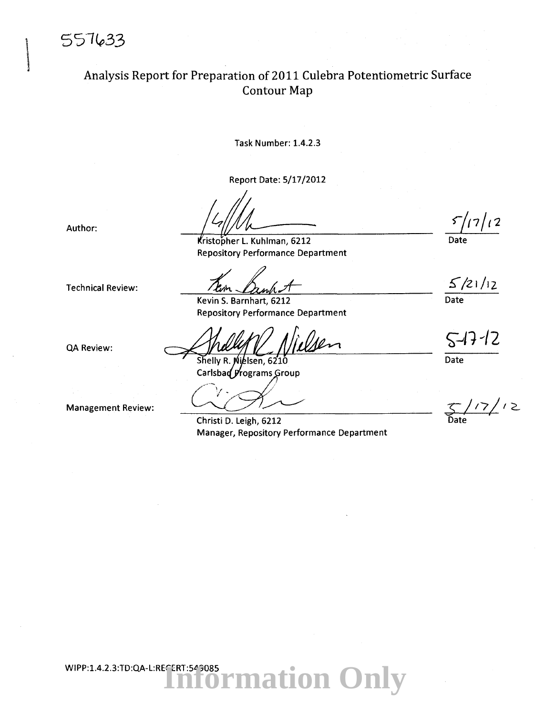557633

#### \ Analysis Report for Preparation of 2011 Culebra Potentiometric Surface Contour Map

Task Number: 1.4.2.3

Report Date: 5/17/2012

Author:

QA Review:

Kristopher L. Kuhlman, 6212 Repository Performance Department

Technical Review:

Kevin 5. Barnhart, 6212 Repository Performance Department

 $2n$ 

Shelly R. Nielsen, 6210 Carlsbad Programs Group

Management Review:

Christi D. Leigh, 6212 Manager, Repository Performance Department

 $5/17/12$ Date

~/21/12 Date

 $5 - 17 - 12$ 

Date

 $17/12$ Date

**Iformation Only** WIPP:1.4.2.3:TD:QA-L:RECERT:549085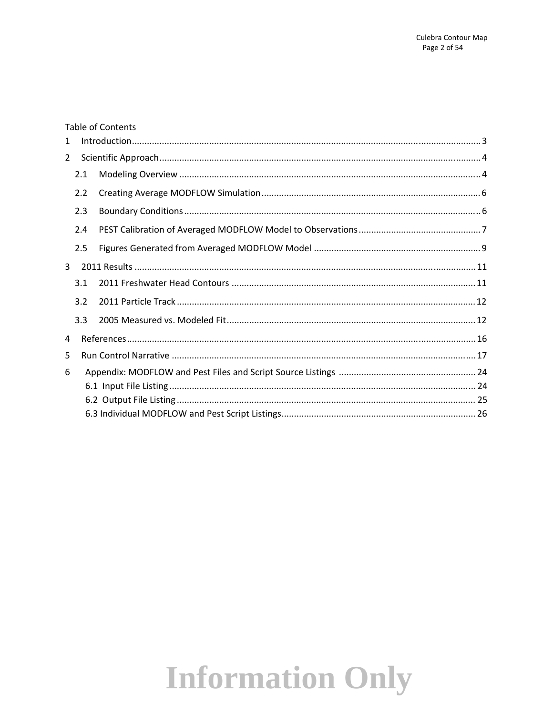#### **Table of Contents**

| 1              |     |  |  |  |  |  |  |  |
|----------------|-----|--|--|--|--|--|--|--|
| $\overline{2}$ |     |  |  |  |  |  |  |  |
|                | 2.1 |  |  |  |  |  |  |  |
|                | 2.2 |  |  |  |  |  |  |  |
|                | 2.3 |  |  |  |  |  |  |  |
|                | 2.4 |  |  |  |  |  |  |  |
|                | 2.5 |  |  |  |  |  |  |  |
| $\mathbf{3}$   |     |  |  |  |  |  |  |  |
| 3.1            |     |  |  |  |  |  |  |  |
|                | 3.2 |  |  |  |  |  |  |  |
|                | 3.3 |  |  |  |  |  |  |  |
| 4              |     |  |  |  |  |  |  |  |
| 5              |     |  |  |  |  |  |  |  |
| 6              |     |  |  |  |  |  |  |  |
|                |     |  |  |  |  |  |  |  |
|                |     |  |  |  |  |  |  |  |
|                |     |  |  |  |  |  |  |  |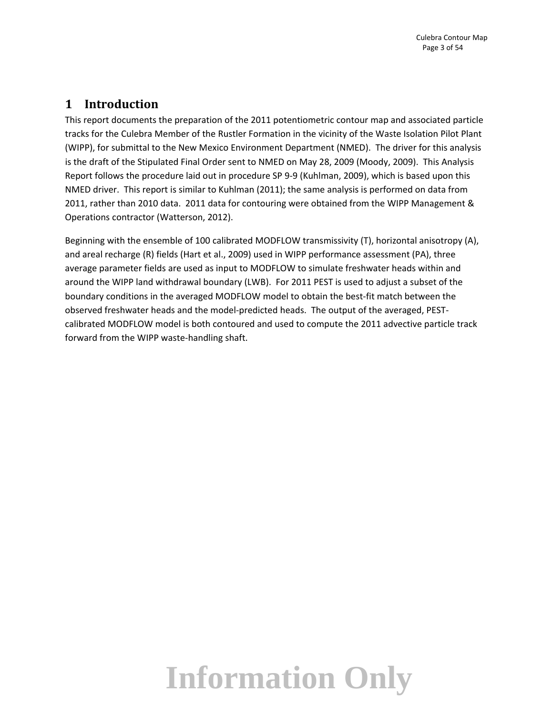#### **1 Introduction**

This report documents the preparation of the 2011 potentiometric contour map and associated particle tracks for the Culebra Member of the Rustler Formation in the vicinity of the Waste Isolation Pilot Plant (WIPP), for submittal to the New Mexico Environment Department (NMED). The driver for this analysis is the draft of the Stipulated Final Order sent to NMED on May 28, 2009 (Moody, 2009). This Analysis Report follows the procedure laid out in procedure SP 9‐9 (Kuhlman, 2009), which is based upon this NMED driver. This report is similar to Kuhlman (2011); the same analysis is performed on data from 2011, rather than 2010 data. 2011 data for contouring were obtained from the WIPP Management & Operations contractor (Watterson, 2012).

Beginning with the ensemble of 100 calibrated MODFLOW transmissivity (T), horizontal anisotropy (A), and areal recharge (R) fields (Hart et al., 2009) used in WIPP performance assessment (PA), three average parameter fields are used as input to MODFLOW to simulate freshwater heads within and around the WIPP land withdrawal boundary (LWB). For 2011 PEST is used to adjust a subset of the boundary conditions in the averaged MODFLOW model to obtain the best‐fit match between the observed freshwater heads and the model‐predicted heads. The output of the averaged, PEST‐ calibrated MODFLOW model is both contoured and used to compute the 2011 advective particle track forward from the WIPP waste‐handling shaft.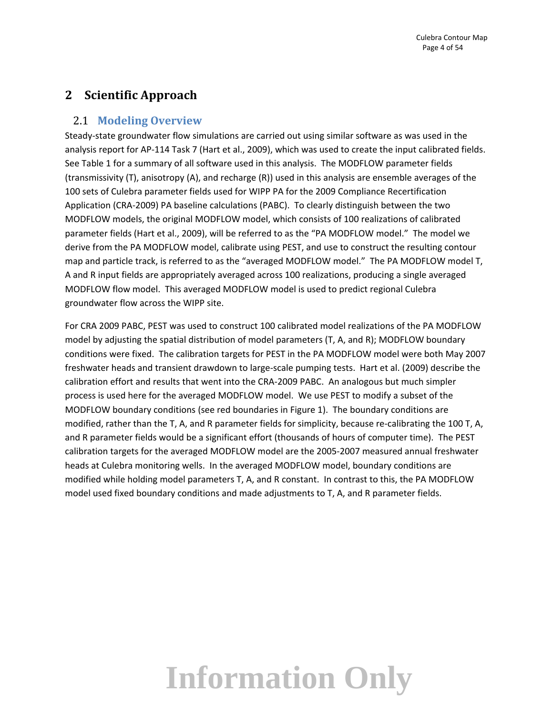#### **2 Scientific Approach**

#### 2.1 **Modeling Overview**

Steady‐state groundwater flow simulations are carried out using similar software as was used in the analysis report for AP‐114 Task 7 (Hart et al., 2009), which was used to create the input calibrated fields. See Table 1 for a summary of all software used in this analysis. The MODFLOW parameter fields (transmissivity (T), anisotropy (A), and recharge (R)) used in this analysis are ensemble averages of the 100 sets of Culebra parameter fields used for WIPP PA for the 2009 Compliance Recertification Application (CRA‐2009) PA baseline calculations (PABC). To clearly distinguish between the two MODFLOW models, the original MODFLOW model, which consists of 100 realizations of calibrated parameter fields (Hart et al., 2009), will be referred to as the "PA MODFLOW model." The model we derive from the PA MODFLOW model, calibrate using PEST, and use to construct the resulting contour map and particle track, is referred to as the "averaged MODFLOW model." The PA MODFLOW model T, A and R input fields are appropriately averaged across 100 realizations, producing a single averaged MODFLOW flow model. This averaged MODFLOW model is used to predict regional Culebra groundwater flow across the WIPP site.

For CRA 2009 PABC, PEST was used to construct 100 calibrated model realizations of the PA MODFLOW model by adjusting the spatial distribution of model parameters (T, A, and R); MODFLOW boundary conditions were fixed. The calibration targets for PEST in the PA MODFLOW model were both May 2007 freshwater heads and transient drawdown to large‐scale pumping tests. Hart et al. (2009) describe the calibration effort and results that went into the CRA‐2009 PABC. An analogous but much simpler process is used here for the averaged MODFLOW model. We use PEST to modify a subset of the MODFLOW boundary conditions (see red boundaries in Figure 1). The boundary conditions are modified, rather than the T, A, and R parameter fields for simplicity, because re-calibrating the 100 T, A, and R parameter fields would be a significant effort (thousands of hours of computer time). The PEST calibration targets for the averaged MODFLOW model are the 2005‐2007 measured annual freshwater heads at Culebra monitoring wells. In the averaged MODFLOW model, boundary conditions are modified while holding model parameters T, A, and R constant. In contrast to this, the PA MODFLOW model used fixed boundary conditions and made adjustments to T, A, and R parameter fields.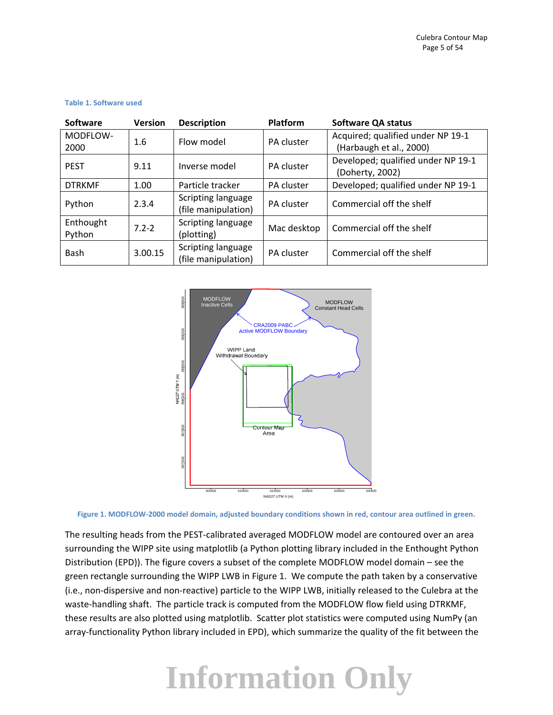| <b>Software</b> | <b>Version</b> | <b>Description</b>               | Platform                 | <b>Software QA status</b>          |
|-----------------|----------------|----------------------------------|--------------------------|------------------------------------|
| MODFLOW-        | 1.6            | Flow model                       | PA cluster               | Acquired; qualified under NP 19-1  |
| 2000            |                |                                  |                          | (Harbaugh et al., 2000)            |
| <b>PEST</b>     | 9.11           | Inverse model                    | PA cluster               | Developed; qualified under NP 19-1 |
|                 |                |                                  |                          | (Doherty, 2002)                    |
| <b>DTRKMF</b>   | 1.00           | Particle tracker                 | PA cluster               | Developed; qualified under NP 19-1 |
| Python          | 2.3.4          | Scripting language<br>PA cluster | Commercial off the shelf |                                    |
|                 |                | (file manipulation)              |                          |                                    |
| Enthought       | $7.2 - 2$      | Scripting language               | Mac desktop              | Commercial off the shelf           |
| Python          |                | (plotting)                       |                          |                                    |
| Bash            | 3.00.15        | Scripting language               | PA cluster               | Commercial off the shelf           |
|                 |                | (file manipulation)              |                          |                                    |

#### **Table 1. Software used**



Figure 1. MODFLOW-2000 model domain, adjusted boundary conditions shown in red, contour area outlined in green.

The resulting heads from the PEST-calibrated averaged MODFLOW model are contoured over an area surrounding the WIPP site using matplotlib (a Python plotting library included in the Enthought Python Distribution (EPD)). The figure covers a subset of the complete MODFLOW model domain – see the green rectangle surrounding the WIPP LWB in Figure 1. We compute the path taken by a conservative (i.e., non‐dispersive and non‐reactive) particle to the WIPP LWB, initially released to the Culebra at the waste-handling shaft. The particle track is computed from the MODFLOW flow field using DTRKMF, these results are also plotted using matplotlib. Scatter plot statistics were computed using NumPy (an array‐functionality Python library included in EPD), which summarize the quality of the fit between the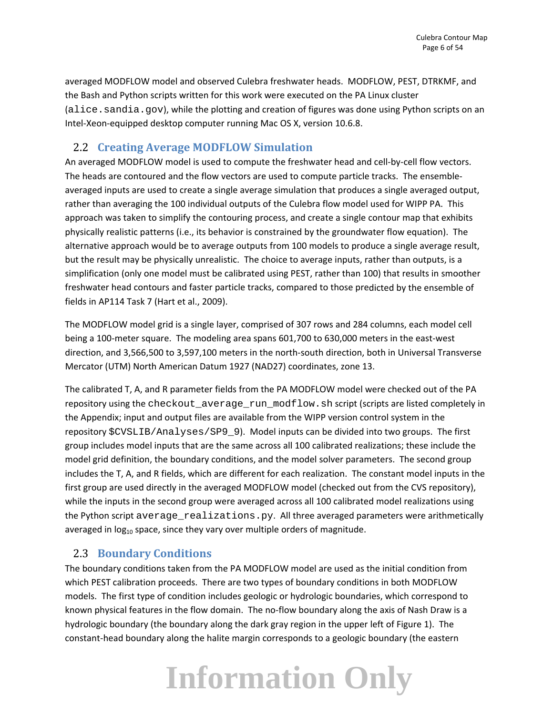averaged MODFLOW model and observed Culebra freshwater heads. MODFLOW, PEST, DTRKMF, and the Bash and Python scripts written for this work were executed on the PA Linux cluster (alice.sandia.gov), while the plotting and creation of figures was done using Python scripts on an Intel‐Xeon‐equipped desktop computer running Mac OS X, version 10.6.8.

#### 2.2 **Creating Average MODFLOW Simulation**

An averaged MODFLOW model is used to compute the freshwater head and cell‐by‐cell flow vectors. The heads are contoured and the flow vectors are used to compute particle tracks. The ensemble‐ averaged inputs are used to create a single average simulation that produces a single averaged output, rather than averaging the 100 individual outputs of the Culebra flow model used for WIPP PA. This approach was taken to simplify the contouring process, and create a single contour map that exhibits physically realistic patterns (i.e., its behavior is constrained by the groundwater flow equation). The alternative approach would be to average outputs from 100 models to produce a single average result, but the result may be physically unrealistic. The choice to average inputs, rather than outputs, is a simplification (only one model must be calibrated using PEST, rather than 100) that results in smoother freshwater head contours and faster particle tracks, compared to those predicted by the ensemble of fields in AP114 Task 7 (Hart et al., 2009).

The MODFLOW model grid is a single layer, comprised of 307 rows and 284 columns, each model cell being a 100‐meter square. The modeling area spans 601,700 to 630,000 meters in the east‐west direction, and 3,566,500 to 3,597,100 meters in the north‐south direction, both in Universal Transverse Mercator (UTM) North American Datum 1927 (NAD27) coordinates, zone 13.

The calibrated T, A, and R parameter fields from the PA MODFLOW model were checked out of the PA repository using the checkout\_average\_run\_modflow.sh script (scripts are listed completely in the Appendix; input and output files are available from the WIPP version control system in the repository \$CVSLIB/Analyses/SP9\_9). Model inputs can be divided into two groups. The first group includes model inputs that are the same across all 100 calibrated realizations; these include the model grid definition, the boundary conditions, and the model solver parameters. The second group includes the T, A, and R fields, which are different for each realization. The constant model inputs in the first group are used directly in the averaged MODFLOW model (checked out from the CVS repository), while the inputs in the second group were averaged across all 100 calibrated model realizations using the Python script average\_realizations.py. All three averaged parameters were arithmetically averaged in  $log_{10}$  space, since they vary over multiple orders of magnitude.

#### 2.3 **Boundary Conditions**

The boundary conditions taken from the PA MODFLOW model are used as the initial condition from which PEST calibration proceeds. There are two types of boundary conditions in both MODFLOW models. The first type of condition includes geologic or hydrologic boundaries, which correspond to known physical features in the flow domain. The no-flow boundary along the axis of Nash Draw is a hydrologic boundary (the boundary along the dark gray region in the upper left of Figure 1). The constant‐head boundary along the halite margin corresponds to a geologic boundary (the eastern

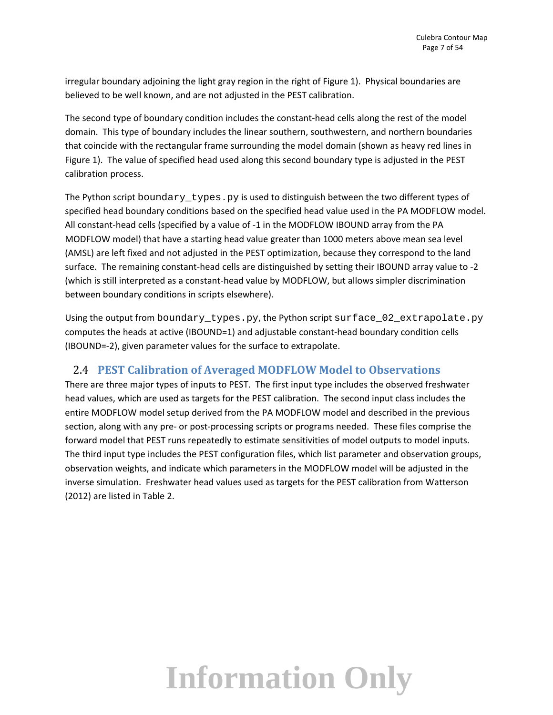irregular boundary adjoining the light gray region in the right of Figure 1). Physical boundaries are believed to be well known, and are not adjusted in the PEST calibration.

The second type of boundary condition includes the constant-head cells along the rest of the model domain. This type of boundary includes the linear southern, southwestern, and northern boundaries that coincide with the rectangular frame surrounding the model domain (shown as heavy red lines in Figure 1). The value of specified head used along this second boundary type is adjusted in the PEST calibration process.

The Python script boundary  $t$ ypes. py is used to distinguish between the two different types of specified head boundary conditions based on the specified head value used in the PA MODFLOW model. All constant-head cells (specified by a value of -1 in the MODFLOW IBOUND array from the PA MODFLOW model) that have a starting head value greater than 1000 meters above mean sea level (AMSL) are left fixed and not adjusted in the PEST optimization, because they correspond to the land surface. The remaining constant-head cells are distinguished by setting their IBOUND array value to -2 (which is still interpreted as a constant‐head value by MODFLOW, but allows simpler discrimination between boundary conditions in scripts elsewhere).

Using the output from boundary\_types.py, the Python script surface\_02\_extrapolate.py computes the heads at active (IBOUND=1) and adjustable constant‐head boundary condition cells (IBOUND=‐2), given parameter values for the surface to extrapolate.

#### 2.4 **PEST Calibration of Averaged MODFLOW Model to Observations**

There are three major types of inputs to PEST. The first input type includes the observed freshwater head values, which are used as targets for the PEST calibration. The second input class includes the entire MODFLOW model setup derived from the PA MODFLOW model and described in the previous section, along with any pre- or post-processing scripts or programs needed. These files comprise the forward model that PEST runs repeatedly to estimate sensitivities of model outputs to model inputs. The third input type includes the PEST configuration files, which list parameter and observation groups, observation weights, and indicate which parameters in the MODFLOW model will be adjusted in the inverse simulation. Freshwater head values used as targets for the PEST calibration from Watterson (2012) are listed in Table 2.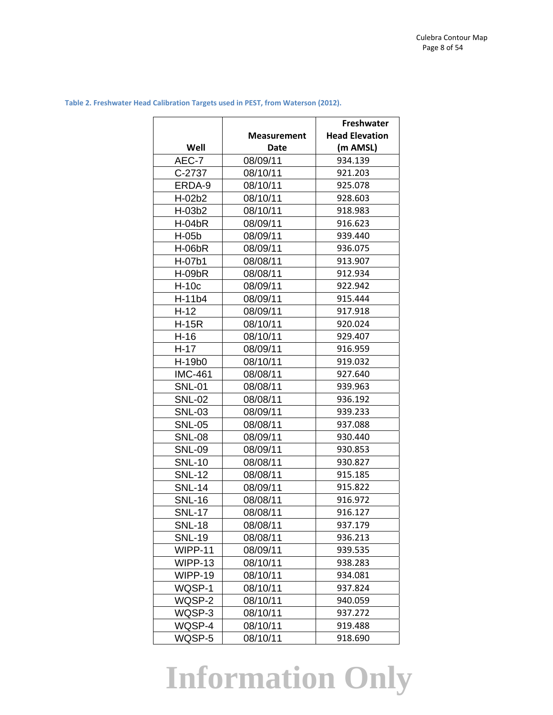|                |                    | Freshwater            |
|----------------|--------------------|-----------------------|
|                | <b>Measurement</b> | <b>Head Elevation</b> |
| Well           | Date               | (m AMSL)              |
| AEC-7          | 08/09/11           | 934.139               |
| C-2737         | 08/10/11           | 921.203               |
| ERDA-9         | 08/10/11           | 925.078               |
| H-02b2         | 08/10/11           | 928.603               |
| H-03b2         | 08/10/11           | 918.983               |
| $H-04bR$       | 08/09/11           | 916.623               |
| H-05b          | 08/09/11           | 939.440               |
| <b>H-06bR</b>  | 08/09/11           | 936.075               |
| H-07b1         | 08/08/11           | 913.907               |
| $H-09bR$       | 08/08/11           | 912.934               |
| $H-10c$        | 08/09/11           | 922.942               |
| H-11b4         | 08/09/11           | 915.444               |
| $H-12$         | 08/09/11           | 917.918               |
| <b>H-15R</b>   | 08/10/11           | 920.024               |
| $H-16$         | 08/10/11           | 929.407               |
| $H-17$         | 08/09/11           | 916.959               |
| H-19b0         | 08/10/11           | 919.032               |
| <b>IMC-461</b> | 08/08/11           | 927.640               |
| <b>SNL-01</b>  | 08/08/11           | 939.963               |
| <b>SNL-02</b>  | 08/08/11           | 936.192               |
| <b>SNL-03</b>  | 08/09/11           | 939.233               |
| <b>SNL-05</b>  | 08/08/11           | 937.088               |
| <b>SNL-08</b>  | 08/09/11           | 930.440               |
| <b>SNL-09</b>  | 08/09/11           | 930.853               |
| <b>SNL-10</b>  | 08/08/11           | 930.827               |
| <b>SNL-12</b>  | 08/08/11           | 915.185               |
| <b>SNL-14</b>  | 08/09/11           | 915.822               |
| <b>SNL-16</b>  | 08/08/11           | 916.972               |
| <b>SNL-17</b>  | 08/08/11           | 916.127               |
| <b>SNL-18</b>  | 08/08/11           | 937.179               |
| <b>SNL-19</b>  | 08/08/11           | 936.213               |
| WIPP-11        | 08/09/11           | 939.535               |
| WIPP-13        | 08/10/11           | 938.283               |
| WIPP-19        | 08/10/11           | 934.081               |
| WQSP-1         | 08/10/11           | 937.824               |
| WQSP-2         | 08/10/11           | 940.059               |
| WQSP-3         | 08/10/11           | 937.272               |
| WQSP-4         | 08/10/11           | 919.488               |
| WQSP-5         | 08/10/11           | 918.690               |

**Table 2. Freshwater Head Calibration Targets used in PEST, from Waterson (2012).**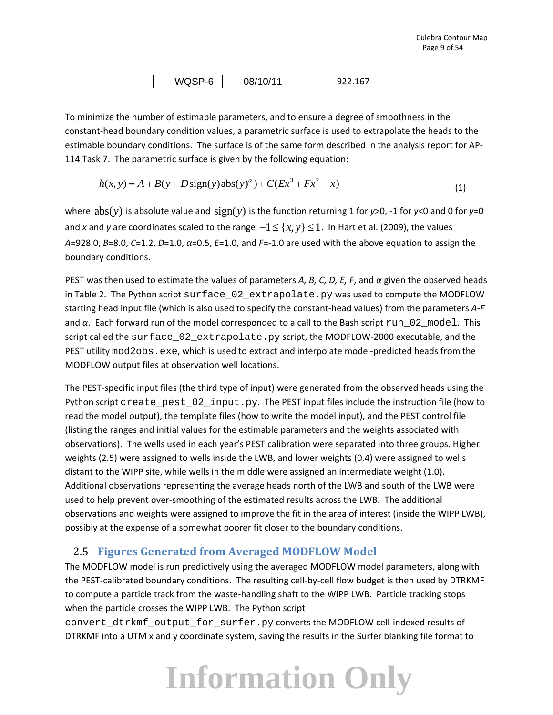| --<br>ັ<br>$\cdot$ . $\cdot$ . $\cdot$ | --<br>ັ,<br>------ |
|----------------------------------------|--------------------|
|                                        |                    |

To minimize the number of estimable parameters, and to ensure a degree of smoothness in the constant‐head boundary condition values, a parametric surface is used to extrapolate the heads to the estimable boundary conditions. The surface is of the same form described in the analysis report for AP‐ 114 Task 7. The parametric surface is given by the following equation:

$$
h(x, y) = A + B(y + D\text{sign}(y)\text{abs}(y)^{\alpha}) + C(Ex^{3} + Fx^{2} - x)
$$
\n(1)

where  $abs(y)$  is absolute value and  $sign(y)$  is the function returning 1 for  $y > 0$ , -1 for  $y < 0$  and 0 for  $y = 0$ and *x* and *y* are coordinates scaled to the range  $-1 \leq \{x, y\} \leq 1$ . In Hart et al. (2009), the values *A*=928.0, *B*=8.0, *C*=1.2, *D*=1.0, *α*=0.5, *E*=1.0, and *F*=‐1.0 are used with the above equation to assign the boundary conditions.

PEST was then used to estimate the values of parameters *A, B, C, D, E, F*, and *α* given the observed heads in Table 2. The Python script surface\_02\_extrapolate.py was used to compute the MODFLOW starting head input file (which is also used to specify the constant‐head values) from the parameters *A‐F* and *α*. Each forward run of the model corresponded to a call to the Bash script run\_02\_model. This script called the surface\_02\_extrapolate.py script, the MODFLOW-2000 executable, and the PEST utility mod2obs.exe, which is used to extract and interpolate model-predicted heads from the MODFLOW output files at observation well locations.

The PEST-specific input files (the third type of input) were generated from the observed heads using the Python script create\_pest\_02\_input.py. The PEST input files include the instruction file (how to read the model output), the template files (how to write the model input), and the PEST control file (listing the ranges and initial values for the estimable parameters and the weights associated with observations). The wells used in each year's PEST calibration were separated into three groups. Higher weights (2.5) were assigned to wells inside the LWB, and lower weights (0.4) were assigned to wells distant to the WIPP site, while wells in the middle were assigned an intermediate weight (1.0). Additional observations representing the average heads north of the LWB and south of the LWB were used to help prevent over‐smoothing of the estimated results across the LWB. The additional observations and weights were assigned to improve the fit in the area of interest (inside the WIPP LWB), possibly at the expense of a somewhat poorer fit closer to the boundary conditions.

#### 2.5 **Figures Generated from Averaged MODFLOW Model**

The MODFLOW model is run predictively using the averaged MODFLOW model parameters, along with the PEST-calibrated boundary conditions. The resulting cell-by-cell flow budget is then used by DTRKMF to compute a particle track from the waste‐handling shaft to the WIPP LWB. Particle tracking stops when the particle crosses the WIPP LWB. The Python script

convert\_dtrkmf\_output\_for\_surfer.py converts the MODFLOW cell-indexed results of DTRKMF into a UTM x and y coordinate system, saving the results in the Surfer blanking file format to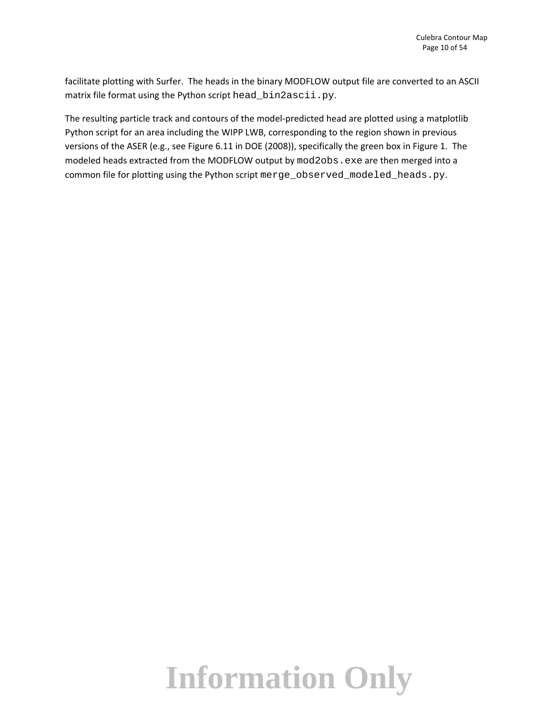facilitate plotting with Surfer. The heads in the binary MODFLOW output file are converted to an ASCII matrix file format using the Python script head\_bin2ascii.py.

The resulting particle track and contours of the model‐predicted head are plotted using a matplotlib Python script for an area including the WIPP LWB, corresponding to the region shown in previous versions of the ASER (e.g., see Figure 6.11 in DOE (2008)), specifically the green box in Figure 1. The modeled heads extracted from the MODFLOW output by mod2obs.exe are then merged into a common file for plotting using the Python script merge\_observed\_modeled\_heads.py.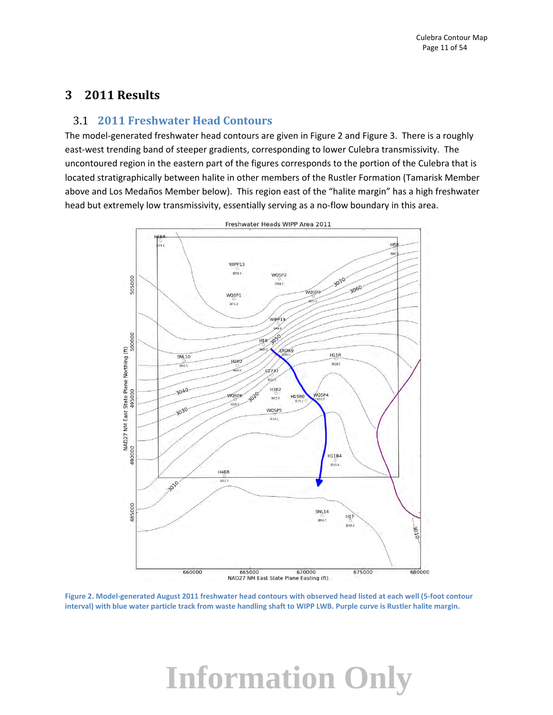#### **3 2011 Results**

#### 3.1 **2011 Freshwater Head Contours**

The model‐generated freshwater head contours are given in Figure 2 and Figure 3. There is a roughly east-west trending band of steeper gradients, corresponding to lower Culebra transmissivity. The uncontoured region in the eastern part of the figures corresponds to the portion of the Culebra that is located stratigraphically between halite in other members of the Rustler Formation (Tamarisk Member above and Los Medaños Member below). This region east of the "halite margin" has a high freshwater head but extremely low transmissivity, essentially serving as a no-flow boundary in this area.



Figure 2. Model-generated August 2011 freshwater head contours with observed head listed at each well (5-foot contour interval) with blue water particle track from waste handling shaft to WIPP LWB. Purple curve is Rustler halite margin.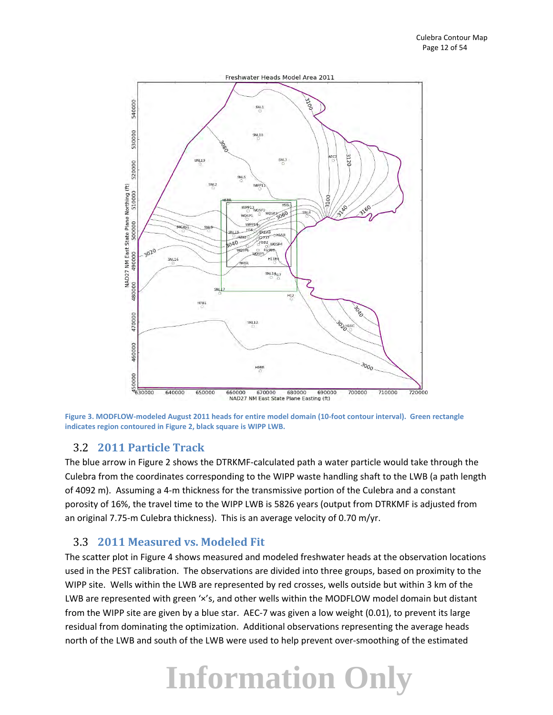

Figure 3. MODFLOW-modeled August 2011 heads for entire model domain (10-foot contour interval). Green rectangle **indicates region contoured in Figure 2, black square is WIPP LWB.**

#### 3.2 **2011 Particle Track**

The blue arrow in Figure 2 shows the DTRKMF‐calculated path a water particle would take through the Culebra from the coordinates corresponding to the WIPP waste handling shaft to the LWB (a path length of 4092 m). Assuming a 4‐m thickness for the transmissive portion of the Culebra and a constant porosity of 16%, the travel time to the WIPP LWB is 5826 years (output from DTRKMF is adjusted from an original 7.75-m Culebra thickness). This is an average velocity of 0.70 m/yr.

#### 3.3 **2011 Measured vs. Modeled Fit**

The scatter plot in Figure 4 shows measured and modeled freshwater heads at the observation locations used in the PEST calibration. The observations are divided into three groups, based on proximity to the WIPP site. Wells within the LWB are represented by red crosses, wells outside but within 3 km of the LWB are represented with green 'x's, and other wells within the MODFLOW model domain but distant from the WIPP site are given by a blue star. AEC‐7 was given a low weight (0.01), to prevent its large residual from dominating the optimization. Additional observations representing the average heads north of the LWB and south of the LWB were used to help prevent over‐smoothing of the estimated

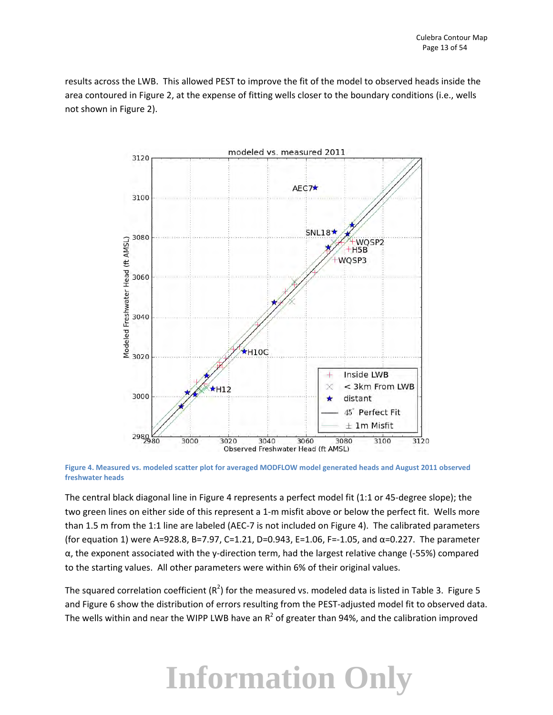results across the LWB. This allowed PEST to improve the fit of the model to observed heads inside the area contoured in Figure 2, at the expense of fitting wells closer to the boundary conditions (i.e., wells not shown in Figure 2).



Figure 4. Measured vs. modeled scatter plot for averaged MODFLOW model generated heads and August 2011 observed **freshwater heads** 

The central black diagonal line in Figure 4 represents a perfect model fit (1:1 or 45‐degree slope); the two green lines on either side of this represent a 1‐m misfit above or below the perfect fit. Wells more than 1.5 m from the 1:1 line are labeled (AEC‐7 is not included on Figure 4). The calibrated parameters (for equation 1) were A=928.8, B=7.97, C=1.21, D=0.943, E=1.06, F=-1.05, and  $\alpha$ =0.227. The parameter  $\alpha$ , the exponent associated with the y-direction term, had the largest relative change (-55%) compared to the starting values. All other parameters were within 6% of their original values.

The squared correlation coefficient (R<sup>2</sup>) for the measured vs. modeled data is listed in Table 3. Figure 5 and Figure 6 show the distribution of errors resulting from the PEST-adjusted model fit to observed data. The wells within and near the WIPP LWB have an  $R^2$  of greater than 94%, and the calibration improved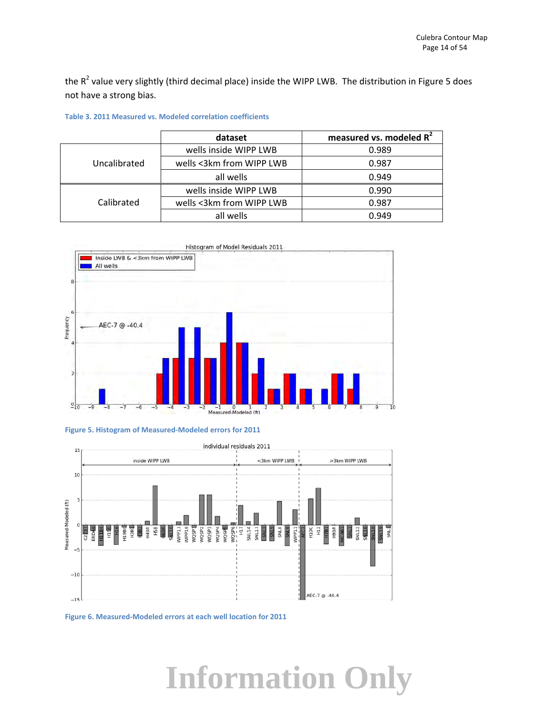the  $R^2$  value very slightly (third decimal place) inside the WIPP LWB. The distribution in Figure 5 does not have a strong bias.

|              | dataset                  | measured vs. modeled R <sup>2</sup> |
|--------------|--------------------------|-------------------------------------|
|              | wells inside WIPP LWB    | 0.989                               |
| Uncalibrated | wells <3km from WIPP LWB | 0.987                               |
|              | all wells                | 0.949                               |
|              | wells inside WIPP LWB    | 0.990                               |
| Calibrated   | wells <3km from WIPP LWB | 0.987                               |
|              | all wells                | 0.949                               |

**Table 3. 2011 Measured vs. Modeled correlation coefficients**







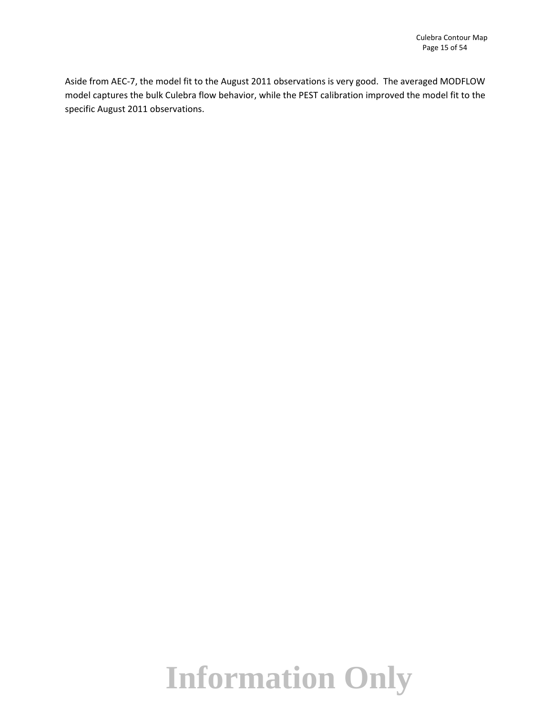Aside from AEC‐7, the model fit to the August 2011 observations is very good. The averaged MODFLOW model captures the bulk Culebra flow behavior, while the PEST calibration improved the model fit to the specific August 2011 observations.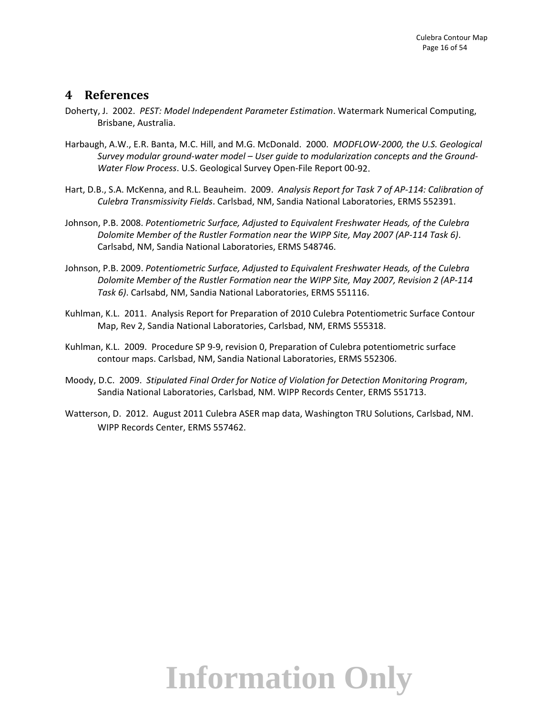#### **4 References**

- Doherty, J. 2002. *PEST: Model Independent Parameter Estimation*. Watermark Numerical Computing, Brisbane, Australia.
- Harbaugh, A.W., E.R. Banta, M.C. Hill, and M.G. McDonald. 2000. *MODFLOW‐2000, the U.S. Geological Survey modular ground‐water model – User guide to modularization concepts and the Ground‐ Water Flow Process*. U.S. Geological Survey Open‐File Report 00‐92.
- Hart, D.B., S.A. McKenna, and R.L. Beauheim. 2009. *Analysis Report for Task 7 of AP‐114: Calibration of Culebra Transmissivity Fields*. Carlsbad, NM, Sandia National Laboratories, ERMS 552391.
- Johnson, P.B. 2008. *Potentiometric Surface, Adjusted to Equivalent Freshwater Heads, of the Culebra Dolomite Member of the Rustler Formation near the WIPP Site, May 2007 (AP‐114 Task 6)*. Carlsabd, NM, Sandia National Laboratories, ERMS 548746.
- Johnson, P.B. 2009. *Potentiometric Surface, Adjusted to Equivalent Freshwater Heads, of the Culebra Dolomite Member of the Rustler Formation near the WIPP Site, May 2007, Revision 2 (AP‐114 Task 6)*. Carlsabd, NM, Sandia National Laboratories, ERMS 551116.
- Kuhlman, K.L. 2011. Analysis Report for Preparation of 2010 Culebra Potentiometric Surface Contour Map, Rev 2, Sandia National Laboratories, Carlsbad, NM, ERMS 555318.
- Kuhlman, K.L. 2009. Procedure SP 9‐9, revision 0, Preparation of Culebra potentiometric surface contour maps. Carlsbad, NM, Sandia National Laboratories, ERMS 552306.
- Moody, D.C. 2009. *Stipulated Final Order for Notice of Violation for Detection Monitoring Program*, Sandia National Laboratories, Carlsbad, NM. WIPP Records Center, ERMS 551713.
- Watterson, D. 2012. August 2011 Culebra ASER map data, Washington TRU Solutions, Carlsbad, NM. WIPP Records Center, ERMS 557462.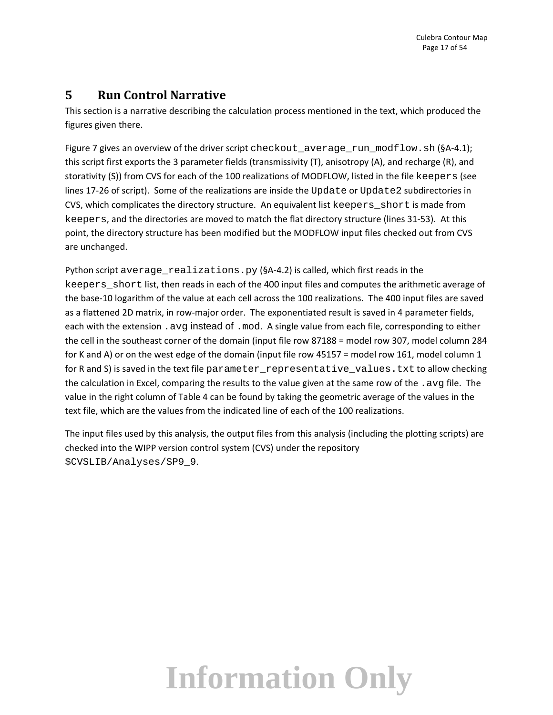#### **5 Run Control Narrative**

This section is a narrative describing the calculation process mentioned in the text, which produced the figures given there.

Figure 7 gives an overview of the driver script checkout\_average\_run\_modflow.sh (§A-4.1); this script first exports the 3 parameter fields (transmissivity (T), anisotropy (A), and recharge (R), and storativity (S)) from CVS for each of the 100 realizations of MODFLOW, listed in the file keepers (see lines 17-26 of script). Some of the realizations are inside the Update or Update2 subdirectories in CVS, which complicates the directory structure. An equivalent list keepers short is made from keepers, and the directories are moved to match the flat directory structure (lines 31‐53). At this point, the directory structure has been modified but the MODFLOW input files checked out from CVS are unchanged.

Python script average\_realizations.py (§A-4.2) is called, which first reads in the keepers short list, then reads in each of the 400 input files and computes the arithmetic average of the base‐10 logarithm of the value at each cell across the 100 realizations. The 400 input files are saved as a flattened 2D matrix, in row-major order. The exponentiated result is saved in 4 parameter fields, each with the extension . avg instead of . mod. A single value from each file, corresponding to either the cell in the southeast corner of the domain (input file row 87188 = model row 307, model column 284 for K and A) or on the west edge of the domain (input file row 45157 = model row 161, model column 1 for R and S) is saved in the text file parameter\_representative\_values.txt to allow checking the calculation in Excel, comparing the results to the value given at the same row of the . avg file. The value in the right column of Table 4 can be found by taking the geometric average of the values in the text file, which are the values from the indicated line of each of the 100 realizations.

The input files used by this analysis, the output files from this analysis (including the plotting scripts) are checked into the WIPP version control system (CVS) under the repository \$CVSLIB/Analyses/SP9\_9.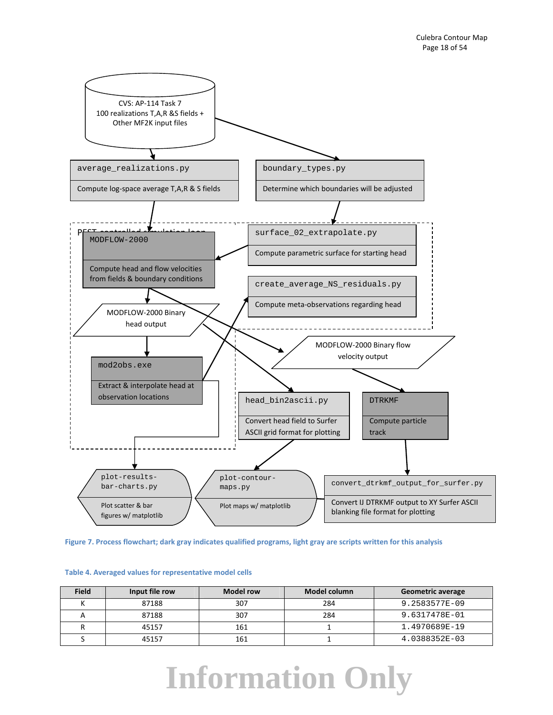

Figure 7. Process flowchart; dark gray indicates qualified programs, light gray are scripts written for this analysis

| <b>Field</b> | Input file row | <b>Model row</b> | Model column | <b>Geometric average</b> |
|--------------|----------------|------------------|--------------|--------------------------|
|              | 87188          | 307              | 284          | 9.2583577E-09            |
|              | 87188          | 307              | 284          | 9.6317478E-01            |
|              | 45157          | 161              |              | 1.4970689E-19            |
|              | 45157          | 161              |              | 4.0388352E-03            |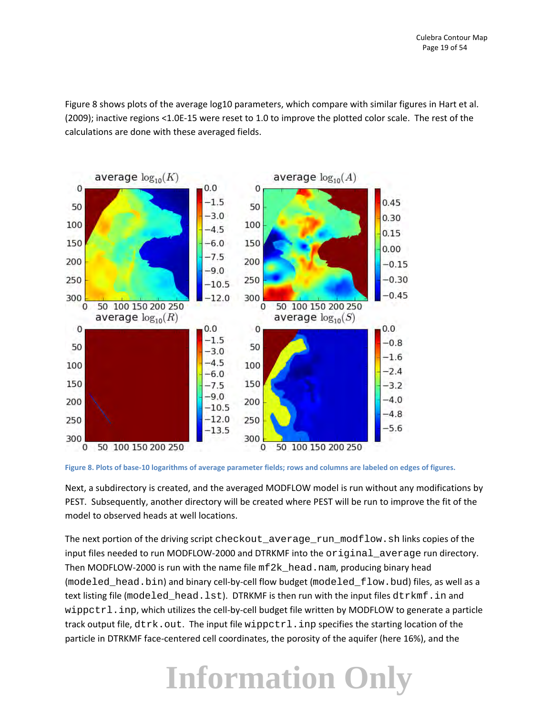Figure 8 shows plots of the average log10 parameters, which compare with similar figures in Hart et al. (2009); inactive regions <1.0E‐15 were reset to 1.0 to improve the plotted color scale. The rest of the calculations are done with these averaged fields.



Figure 8. Plots of base-10 logarithms of average parameter fields; rows and columns are labeled on edges of figures.

Next, a subdirectory is created, and the averaged MODFLOW model is run without any modifications by PEST. Subsequently, another directory will be created where PEST will be run to improve the fit of the model to observed heads at well locations.

The next portion of the driving script checkout\_average\_run\_modflow.sh links copies of the input files needed to run MODFLOW‐2000 and DTRKMF into the original\_average run directory. Then MODFLOW-2000 is run with the name file  $mf2k\_head$  . nam, producing binary head (modeled head.bin) and binary cell‐by‐cell flow budget (modeled flow.bud) files, as well as a text listing file (modeled\_head.lst). DTRKMF is then run with the input files dtrkmf.in and wippctrl.inp, which utilizes the cell‐by‐cell budget file written by MODFLOW to generate a particle track output file,  $dtrk$ . out. The input file wippctrl.inp specifies the starting location of the particle in DTRKMF face‐centered cell coordinates, the porosity of the aquifer (here 16%), and the

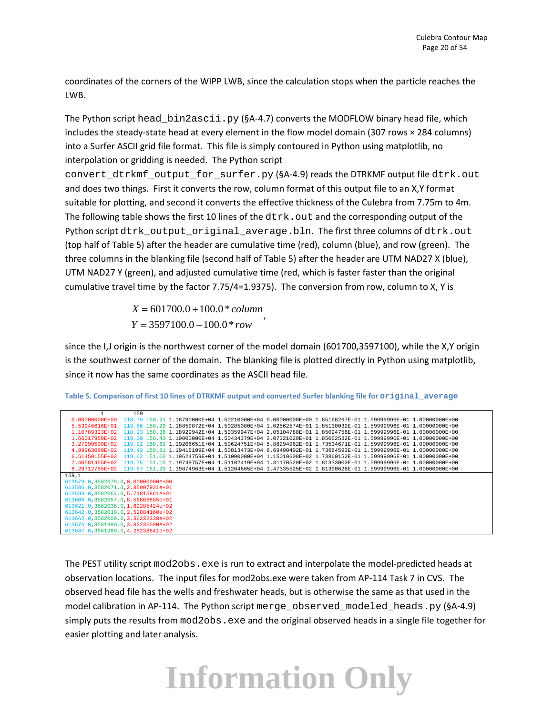coordinates of the corners of the WIPP LWB, since the calculation stops when the particle reaches the LWB.

The Python script head\_bin2ascii.py (§A-4.7) converts the MODFLOW binary head file, which includes the steady‐state head at every element in the flow model domain (307 rows × 284 columns) into a Surfer ASCII grid file format. This file is simply contoured in Python using matplotlib, no interpolation or gridding is needed. The Python script

convert\_dtrkmf\_output\_for\_surfer.py (§A-4.9) reads the DTRKMF output file dtrk.out and does two things. First it converts the row, column format of this output file to an X,Y format suitable for plotting, and second it converts the effective thickness of the Culebra from 7.75m to 4m. The following table shows the first 10 lines of the  $dtrk$ . out and the corresponding output of the Python script dtrk\_output\_original\_average.bln. The first three columns of dtrk.out (top half of Table 5) after the header are cumulative time (red), column (blue), and row (green). The three columns in the blanking file (second half of Table 5) after the header are UTM NAD27 X (blue), UTM NAD27 Y (green), and adjusted cumulative time (red, which is faster faster than the original cumulative travel time by the factor 7.75/4=1.9375). The conversion from row, column to X, Y is

> $X = 601700.0 + 100.0 * column$  $Y = 3597100.0 - 100.0 * row$

since the I,J origin is the northwest corner of the model domain (601700,3597100), while the X,Y origin is the southwest corner of the domain. The blanking file is plotted directly in Python using matplotlib, since it now has the same coordinates as the ASCII head file.

|                                                                                                                       | 159 |                                                                                                         |  |  |  |
|-----------------------------------------------------------------------------------------------------------------------|-----|---------------------------------------------------------------------------------------------------------|--|--|--|
| $0.00000000E+00$                                                                                                      |     | 118.79 150.21 1.18790000R+04 1.50210000R+04 0.00000000R+00 1.85168267R-01 1.59999996R-01 1.00000000R+00 |  |  |  |
| 5.53946616E+01                                                                                                        |     | 118.86 150.29 1.18859872E+04 1.50285080E+04 1.02562574E+01 1.85130032E-01 1.59999996E-01 1.0000000E+00  |  |  |  |
| 1.10789323E+02                                                                                                        |     | 118.93 150.36 1.18929942E+04 1.50359947E+04 2.05104788E+01 1.85094756E-01 1.59999996E-01 1.0000000E+00  |  |  |  |
| $1.66017959E + 02$                                                                                                    |     | 119.00 150.43 1.19000000R+04 1.50434379R+04 3.07321029R+01 1.85062532R-01 1.59999996R-01 1.00000000R+00 |  |  |  |
| $3.27990509E + 02$                                                                                                    |     | 119.21 150.62 1.19206651E+04 1.50624751E+04 5.88294962E+01 1.73534671E-01 1.59999996E-01 1.00000000E+00 |  |  |  |
| 4.89963060E+02                                                                                                        |     | 119.42 150.81 1.19415109R+04 1.50813473R+04 8.69490492R+01 1.73684593R-01 1.59999996R-01 1.00000000R+00 |  |  |  |
| $6.51450155E+02$                                                                                                      |     | 119.62 151.00 1.19624759R+04 1.51000000R+04 1.15010608R+02 1.73860152R-01 1.59999996R-01 1.00000000R+00 |  |  |  |
| 7.40581455E+02                                                                                                        |     | 119.75 151.10 1.19749757R+04 1.51102419R+04 1.31170520R+02 1.81333000R-01 1.59999996R-01 1.00000000R+00 |  |  |  |
| 8.29712755E+02 119.87 151.20 1.19874963E+04 1.51204665E+04 1.47335525E+02 1.81390626E-01 1.59999996E-01 1.0000000E+00 |     |                                                                                                         |  |  |  |
|                                                                                                                       |     |                                                                                                         |  |  |  |
| 159.1                                                                                                                 |     |                                                                                                         |  |  |  |
| 613579.0.3582079.0.0.00000000e+00                                                                                     |     |                                                                                                         |  |  |  |
| 613586.0.3582071.0.2.85907931e+01                                                                                     |     |                                                                                                         |  |  |  |
| 613593.0.3582064.0.5.71815861e+01                                                                                     |     |                                                                                                         |  |  |  |
| 613600.0.3582057.0.8.56866885e+01                                                                                     |     |                                                                                                         |  |  |  |
| 613621.0.3582038.0.1.69285424e+02                                                                                     |     |                                                                                                         |  |  |  |
| 613642.0.3582019.0.2.52884160e+02                                                                                     |     |                                                                                                         |  |  |  |
| 613662.0.3582000.0.3.36232338e+02                                                                                     |     |                                                                                                         |  |  |  |
| 613675.0.3581990.0.3.82235590e+02                                                                                     |     |                                                                                                         |  |  |  |

Table 5. Comparison of first 10 lines of DTRKMF output and converted Surfer blanking file for original average

The PEST utility script  $mod2obs$ . exe is run to extract and interpolate the model-predicted heads at observation locations. The input files for mod2obs.exe were taken from AP‐114 Task 7 in CVS. The observed head file has the wells and freshwater heads, but is otherwise the same as that used in the model calibration in AP-114. The Python script merge\_observed\_modeled\_heads.py (§A-4.9) simply puts the results from mod2obs.exe and the original observed heads in a single file together for easier plotting and later analysis.

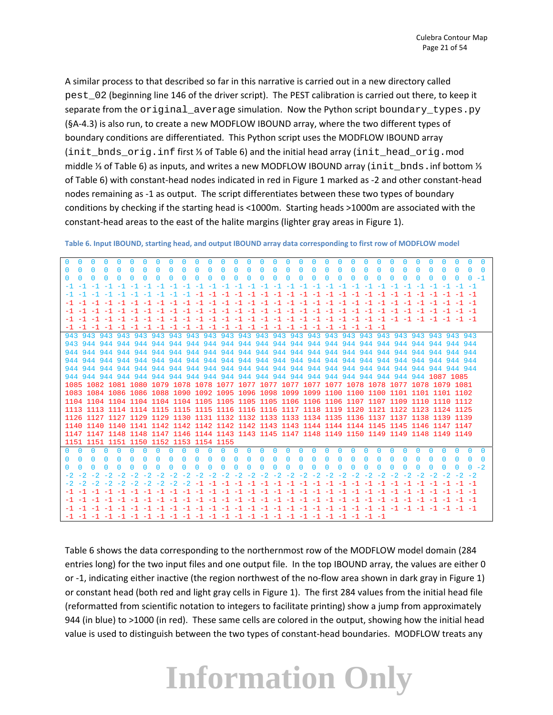A similar process to that described so far in this narrative is carried out in a new directory called pest\_02 (beginning line 146 of the driver script). The PEST calibration is carried out there, to keep it separate from the original\_average simulation. Now the Python script boundary\_types.py (§A‐4.3) is also run, to create a new MODFLOW IBOUND array, where the two different types of boundary conditions are differentiated. This Python script uses the MODFLOW IBOUND array (init\_bnds\_orig.inf first ⅓ of Table 6) and the initial head array (init\_head\_orig.mod middle ⅓ of Table 6) as inputs, and writes a new MODFLOW IBOUND array (init\_bnds.inf bottom ⅓ of Table 6) with constant‐head nodes indicated in red in Figure 1 marked as ‐2 and other constant‐head nodes remaining as ‐1 as output. The script differentiates between these two types of boundary conditions by checking if the starting head is <1000m. Starting heads >1000m are associated with the constant-head areas to the east of the halite margins (lighter gray areas in Figure 1).

| $\Omega$<br>$\Omega$<br>$\Omega$<br>$\Omega$<br>$\Omega$<br>$\cup$<br>$\Omega$<br><sup>0</sup><br>n.<br><sup>0</sup><br>n.<br><sup>0</sup><br>n.<br><sup>0</sup><br><sup>0</sup><br><sup>0</sup><br>0<br>O.<br><sup>0</sup><br>0<br>$\Box$<br>$\Omega$<br>$\Box$<br>0<br>0<br><sup>0</sup><br><sup>0</sup><br>$\Box$<br>0<br>$\Box$<br>O.<br>0<br>n.                       |
|----------------------------------------------------------------------------------------------------------------------------------------------------------------------------------------------------------------------------------------------------------------------------------------------------------------------------------------------------------------------------|
| <sup>0</sup><br>$\Omega$<br><sup>0</sup><br>n<br><sup>0</sup><br><sup>0</sup><br>n<br><sup>n</sup><br><sup>0</sup><br>$\Omega$<br><sup>0</sup><br><sup>0</sup><br><sup>0</sup><br>$\Omega$<br><sup>0</sup><br>$\Omega$<br><sup>0</sup><br><sup>0</sup><br>$\Omega$<br>n<br>n<br>n<br>$\Box$                                                                                |
| <sup>0</sup><br><sup>0</sup><br>O<br>O<br>O<br>O<br>0<br>O<br>0<br>O<br>n<br>O<br>O<br>O<br>O<br>n<br>n – 1<br>$\Omega$<br>0<br>$^{\circ}$<br>Ω<br>$\Omega$<br>Ω<br>$\Omega$<br>$\Omega$                                                                                                                                                                                   |
| -1-1-1-1-1-1<br>$-1$ $-1$ $-1$ $-1$                                                                                                                                                                                                                                                                                                                                        |
|                                                                                                                                                                                                                                                                                                                                                                            |
|                                                                                                                                                                                                                                                                                                                                                                            |
|                                                                                                                                                                                                                                                                                                                                                                            |
|                                                                                                                                                                                                                                                                                                                                                                            |
| $-1$ $-1$<br>$-1$<br>$-1$<br>$-1$ $-1$<br>$-1$ $-1$<br>$-1$                                                                                                                                                                                                                                                                                                                |
|                                                                                                                                                                                                                                                                                                                                                                            |
|                                                                                                                                                                                                                                                                                                                                                                            |
| 944                                                                                                                                                                                                                                                                                                                                                                        |
| 944 944<br>944 944                                                                                                                                                                                                                                                                                                                                                         |
| 944 944                                                                                                                                                                                                                                                                                                                                                                    |
|                                                                                                                                                                                                                                                                                                                                                                            |
|                                                                                                                                                                                                                                                                                                                                                                            |
|                                                                                                                                                                                                                                                                                                                                                                            |
|                                                                                                                                                                                                                                                                                                                                                                            |
|                                                                                                                                                                                                                                                                                                                                                                            |
| 1126 1127 1127 1129 1129 1130 1131 1132 1132 1133 1133 1134 1135 1136 1137 1137 1138 1139 1139                                                                                                                                                                                                                                                                             |
|                                                                                                                                                                                                                                                                                                                                                                            |
| 1147 1147 1148 1148 1147 1146 1144 1143 1143 1145 1147 1148 1149 1150 1149 1149 1148 1149 1149                                                                                                                                                                                                                                                                             |
| 1151 1151 1151 1150 1152 1153 1154 1155                                                                                                                                                                                                                                                                                                                                    |
| $\Omega$<br>n.<br>n.<br>n.<br>$\Box$<br>n.<br>n.<br>$\Box$<br>n.<br>$\mathsf{D}$<br>O.<br>$\Omega$<br>O.<br>$\Box$<br>n.<br>n.<br>n.<br>- 0<br>n.<br>$\Box$<br>$\Omega$<br>$\Omega$<br>$\mathbf{0}$<br>$\Box$<br>$\mathbf{0}$<br>n.<br>n.<br>n.<br>n.<br>n.<br>n.<br>n.<br>n.                                                                                              |
| $\Box$<br>n<br>n<br>n<br><sup>0</sup><br>n<br>n<br>O<br><sup>n</sup><br><sup>n</sup><br><sup>0</sup><br><sup>n</sup><br>n<br>n<br>O<br>n<br>n<br>n<br>n<br>n<br><sup>n</sup>                                                                                                                                                                                               |
| $\Box$<br>$0 -2$<br>$\Omega$<br>$^{\circ}$<br>$\Omega$<br>$^{\circ}$<br>$^{\circ}$<br>$^{\circ}$<br>$\Omega$<br>$^{\circ}$<br>$^{\circ}$<br>$\Omega$<br>$\Omega$<br>$\Omega$<br>$^{\circ}$<br>$^{\circ}$<br>$\Omega$<br>$^{\circ}$<br>$\Omega$<br>$\Omega$<br>$\Omega$<br>$\Omega$<br>$\Omega$<br>$\Omega$<br>$\Omega$<br>$^{\circ}$<br>$^{\circ}$<br>$\Omega$<br>$\Omega$ |
|                                                                                                                                                                                                                                                                                                                                                                            |
|                                                                                                                                                                                                                                                                                                                                                                            |
|                                                                                                                                                                                                                                                                                                                                                                            |
| $-1$                                                                                                                                                                                                                                                                                                                                                                       |
| $-1 - -1$                                                                                                                                                                                                                                                                                                                                                                  |
|                                                                                                                                                                                                                                                                                                                                                                            |

Table 6. Input IBOUND, starting head, and output IBOUND array data corresponding to first row of MODFLOW model

Table 6 shows the data corresponding to the northernmost row of the MODFLOW model domain (284 entries long) for the two input files and one output file. In the top IBOUND array, the values are either 0 or -1, indicating either inactive (the region northwest of the no-flow area shown in dark gray in Figure 1) or constant head (both red and light gray cells in Figure 1). The first 284 values from the initial head file (reformatted from scientific notation to integers to facilitate printing) show a jump from approximately 944 (in blue) to >1000 (in red). These same cells are colored in the output, showing how the initial head value is used to distinguish between the two types of constant-head boundaries. MODFLOW treats any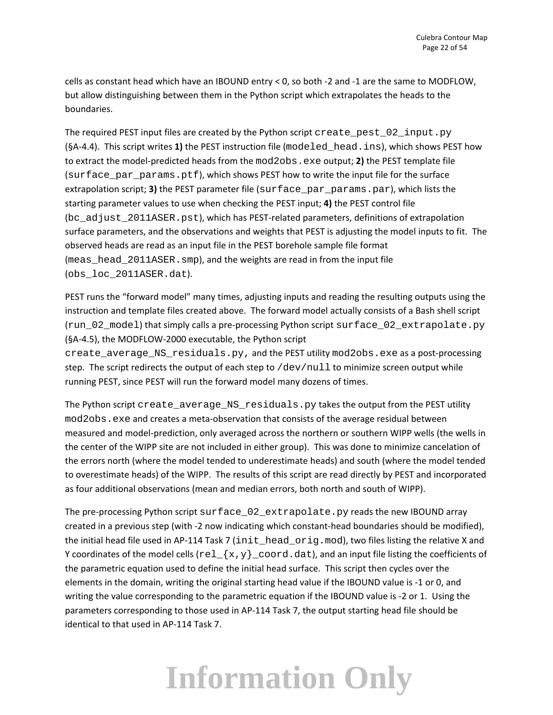cells as constant head which have an IBOUND entry < 0, so both ‐2 and ‐1 are the same to MODFLOW, but allow distinguishing between them in the Python script which extrapolates the heads to the boundaries.

The required PEST input files are created by the Python script create\_pest\_02\_input.py (§A‐4.4). This script writes **1)** the PEST instruction file (modeled\_head.ins), which shows PEST how to extract the model‐predicted heads from the mod2obs.exe output; **2)** the PEST template file (surface par params.ptf), which shows PEST how to write the input file for the surface extrapolation script; **3)** the PEST parameter file (surface par params.par), which lists the starting parameter values to use when checking the PEST input; **4)** the PEST control file (bc\_adjust\_2011ASER.pst), which has PEST-related parameters, definitions of extrapolation surface parameters, and the observations and weights that PEST is adjusting the model inputs to fit. The observed heads are read as an input file in the PEST borehole sample file format (meas\_head\_2011ASER.smp), and the weights are read in from the input file (obs\_loc\_2011ASER.dat).

PEST runs the "forward model" many times, adjusting inputs and reading the resulting outputs using the instruction and template files created above. The forward model actually consists of a Bash shell script (run\_02\_model) that simply calls a pre‐processing Python script surface\_02\_extrapolate.py (§A‐4.5), the MODFLOW‐2000 executable, the Python script

create\_average\_NS\_residuals.py, and the PEST utility mod2obs.exe as a post-processing step. The script redirects the output of each step to /dev/null to minimize screen output while running PEST, since PEST will run the forward model many dozens of times.

The Python script create\_average\_NS\_residuals.py takes the output from the PEST utility mod2obs.exe and creates a meta-observation that consists of the average residual between measured and model‐prediction, only averaged across the northern or southern WIPP wells (the wells in the center of the WIPP site are not included in either group). This was done to minimize cancelation of the errors north (where the model tended to underestimate heads) and south (where the model tended to overestimate heads) of the WIPP. The results of this script are read directly by PEST and incorporated as four additional observations (mean and median errors, both north and south of WIPP).

The pre-processing Python script surface\_02\_extrapolate.py reads the new IBOUND array created in a previous step (with ‐2 now indicating which constant‐head boundaries should be modified), the initial head file used in AP-114 Task 7 (init\_head\_orig.mod), two files listing the relative X and Y coordinates of the model cells  $(\text{rel}_{\mathcal{X},y})$  coord.dat), and an input file listing the coefficients of the parametric equation used to define the initial head surface. This script then cycles over the elements in the domain, writing the original starting head value if the IBOUND value is ‐1 or 0, and writing the value corresponding to the parametric equation if the IBOUND value is -2 or 1. Using the parameters corresponding to those used in AP‐114 Task 7, the output starting head file should be identical to that used in AP‐114 Task 7.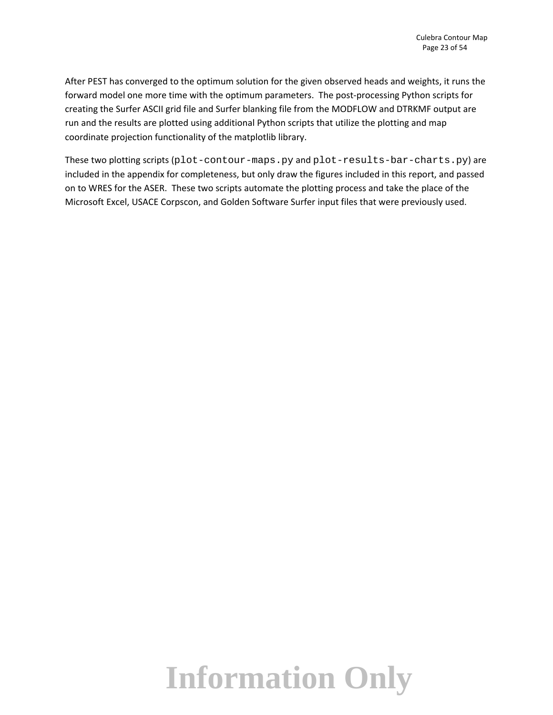After PEST has converged to the optimum solution for the given observed heads and weights, it runs the forward model one more time with the optimum parameters. The post-processing Python scripts for creating the Surfer ASCII grid file and Surfer blanking file from the MODFLOW and DTRKMF output are run and the results are plotted using additional Python scripts that utilize the plotting and map coordinate projection functionality of the matplotlib library.

These two plotting scripts (plot-contour-maps.py and plot-results-bar-charts.py) are included in the appendix for completeness, but only draw the figures included in this report, and passed on to WRES for the ASER. These two scripts automate the plotting process and take the place of the Microsoft Excel, USACE Corpscon, and Golden Software Surfer input files that were previously used.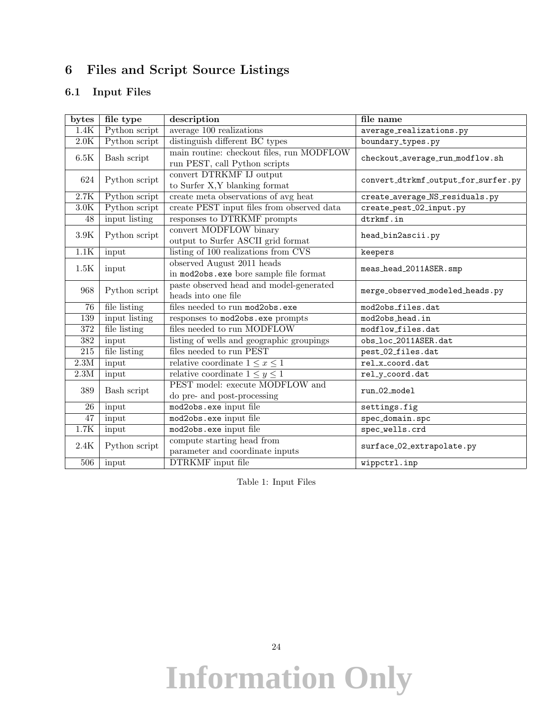#### 6 Files and Script Source Listings

#### 6.1 Input Files

| bytes            | file type                                       | description                                                                     | file name                           |
|------------------|-------------------------------------------------|---------------------------------------------------------------------------------|-------------------------------------|
| 1.4K             | Python script                                   | $average\ 100\ realizations$                                                    | average_realizations.py             |
| $2.0\mathrm{K}$  | Python script<br>distinguish different BC types |                                                                                 | boundary_types.py                   |
| 6.5K             | Bash script                                     | main routine: checkout files, run MODFLOW<br>$\;$ run PEST, call Python scripts | checkout_average_run_modflow.sh     |
| 624              | Python script                                   | convert DTRKMF IJ output<br>to Surfer X, Y blanking format                      | convert_dtrkmf_output_for_surfer.py |
| 2.7K             | Python script                                   | create meta observations of avg heat                                            | create_average_NS_residuals.py      |
| $3.0\mathrm{K}$  | Python script                                   | create PEST input files from observed data                                      | create_pest_02_input.py             |
| 48               | input listing                                   | responses to DTRKMF prompts                                                     | dtrkmf.in                           |
| $3.9\mathrm{K}$  | Python script                                   | convert MODFLOW binary<br>output to Surfer ASCII grid format                    | head_bin2ascii.py                   |
| 1.1K             | input                                           | listing of 100 realizations from CVS                                            | keepers                             |
| 1.5K             | input                                           | observed August 2011 heads<br>in mod2obs.exe bore sample file format            | meas_head_2011ASER.smp              |
| 968              | Python script                                   | paste observed head and model-generated<br>heads into one file                  | merge_observed_modeled_heads.py     |
| 76               | file listing                                    | files needed to run mod2obs.exe                                                 | mod2obs_files.dat                   |
| 139              | input listing                                   | responses to mod2obs.exe prompts                                                | mod2obs_head.in                     |
| $\overline{372}$ | file listing                                    | files needed to run MODFLOW                                                     | modflow_files.dat                   |
| $\overline{382}$ | input                                           | listing of wells and geographic groupings                                       | obs_loc_2011ASER.dat                |
| $\overline{215}$ | file listing                                    | files needed to run PEST                                                        | pest_02_files.dat                   |
| 2.3M             | input                                           | relative coordinate $1 \leq x \leq 1$                                           | rel_x_coord.dat                     |
| $2.3\rm M$       | input                                           | relative coordinate $1 \leq y \leq 1$                                           | rel_y_coord.dat                     |
| 389              | Bash script                                     | PEST model: execute MODFLOW and<br>do pre- and post-processing                  | run_02_model                        |
| 26               | input                                           | mod2obs.exe input file                                                          | settings.fig                        |
| $\overline{47}$  | input                                           | mod2obs.exe input file                                                          | spec_domain.spc                     |
| $1.7\mathrm{K}$  | input                                           | mod2obs.exe input file                                                          | spec_wells.crd                      |
| 2.4K             | Python script                                   | compute starting head from<br>parameter and coordinate inputs                   | surface_02_extrapolate.py           |
| 506              | input                                           | <b>DTRKMF</b> input file                                                        | wippctrl.inp                        |

Table 1: Input Files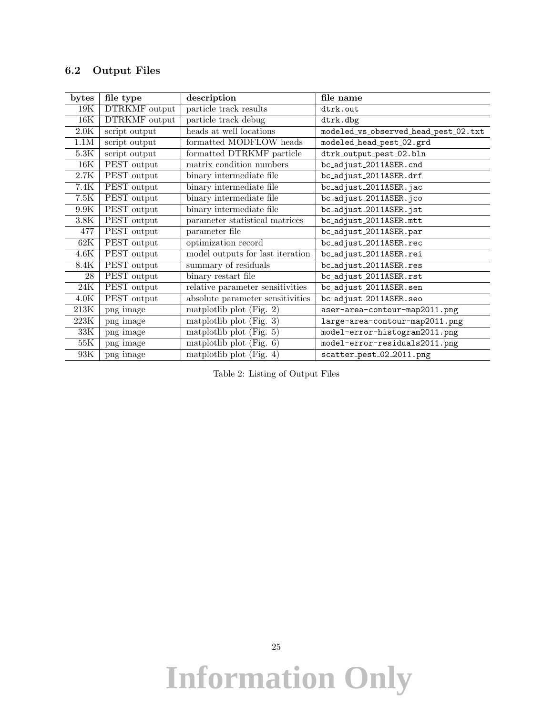#### 6.2 Output Files

| bytes             | file type     | description                                  | file name                            |
|-------------------|---------------|----------------------------------------------|--------------------------------------|
| 19K               | DTRKMF output | particle track results                       | dtrk.out                             |
| 16K               | DTRKMF output | particle track debug                         | dtrk.dbg                             |
| 2.0K              | script output | heads at well locations                      | modeled_vs_observed_head_pest_02.txt |
| $1.1M$            | script output | formatted MODFLOW heads                      | modeled_head_pest_02.grd             |
| $5.3\mathrm{K}$   | script output | formatted DTRKMF particle                    | dtrk_output_pest_02.bln              |
| 16K               | PEST output   | matrix condition numbers                     | bc_adjust_2011ASER.cnd               |
| $2.7\mathrm{K}$   | PEST output   | binary intermediate file                     | bc_adjust_2011ASER.drf               |
| 7.4K              | PEST output   | binary intermediate file                     | bc_adjust_2011ASER.jac               |
| $7.5K$            | PEST output   | binary intermediate file                     | bc_adjust_2011ASER.jco               |
| $9.9\mathrm{K}$   | PEST output   | binary intermediate file                     | bc_adjust_2011ASER.jst               |
| $3.8\mathrm{K}$   | PEST output   | parameter statistical matrices               | bc_adjust_2011ASER.mtt               |
| 477               | PEST output   | parameter file                               | bc_adjust_2011ASER.par               |
| 62K               | PEST output   | optimization record                          | bc_adjust_2011ASER.rec               |
| 4.6K              | PEST output   | model outputs for last iteration             | bc_adjust_2011ASER.rei               |
| 8.4K              | PEST output   | summary of residuals                         | bc_adjust_2011ASER.res               |
| 28                | PEST output   | binary restart file                          | bc_adjust_2011ASER.rst               |
| $\overline{2}4K$  | PEST output   | relative parameter sensitivities             | bc_adjust_2011ASER.sen               |
| $4.0\mathrm{K}$   | PEST output   | absolute parameter sensitivities             | bc_adjust_2011ASER.seo               |
| $\overline{213K}$ | png image     | matplotlib plot (Fig. $2)$ )                 | aser-area-contour-map2011.png        |
| $223\mathrm{K}$   | png image     | $\overline{\text{matplotlib}}$ plot (Fig. 3) | large-area-contour-map2011.png       |
| $\overline{33K}$  | png image     | $\overline{\text{matplotlib}}$ plot (Fig. 5) | model-error-histogram2011.png        |
| $55\mathrm{K}$    | png image     | matplotlib plot (Fig. $6$ )                  | model-error-residuals2011.png        |
| $93\mathrm{K}$    | png image     | $\overline{\text{matplotlib}}$ plot (Fig. 4) | scatter_pest_02_2011.png             |

Table 2: Listing of Output Files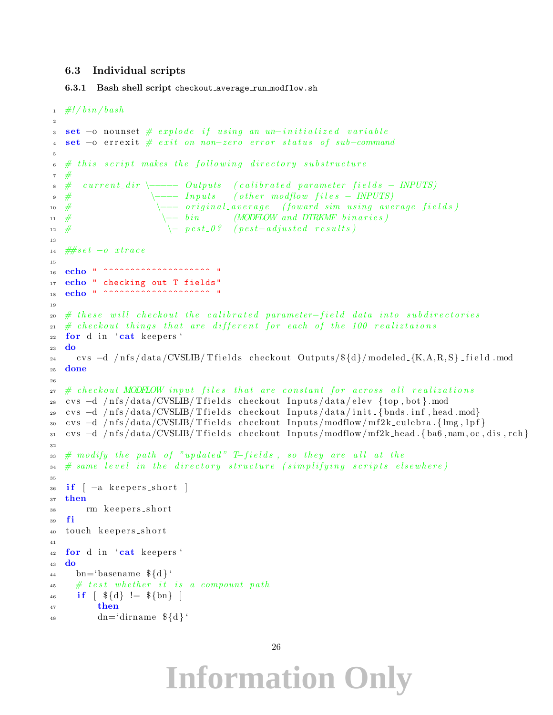#### 6.3 Individual scripts

6.3.1 Bash shell script checkout average run modflow.sh

```
_1 #!/bin/bash
2
3 set -o nounset # explode if using an un-initialized variable
4 set -o errexit # exit on non-zero error status of sub-command
5
6 \# this script makes the following directory substitute7 #
\text{ s }\# \text{ current-dir } \text{--}-\text{ Outputs } \text{ (calibrated parameter fields - INPUTS)}\textcolor{red}{\bullet} \# \textcolor{blue}{\longleftarrow} \textcolor{blue}{\textbf{Inputs}} \textcolor{red}{\bullet} \textcolor{blue}{(other\ mod flow\ files - \textcolor{blue}{INPUTS})}\rightarrow \leftarrow original_average (foward sim using average fields)
11 # \leftarrow bin (MODFLOW and DTRKMF binaries)
\rightarrow 12 # \rightarrow \rightarrow pest_0? (pest-adjusted results)
13
14 \#s \, e \, t \ -o \; x \, tr \, a \, c \, e15
16 echo \blacksquare ^^^^^^^^^^^^^^^^^^^^^^^^^^^^ \blacksquare17 echo " checking out T fields"
18 echo " ^^^^^^^^^^^^^^^^^^^^^^^^^^^^^ "
19
20 \# these will checkout the calibrated parameter-field data into subdirectories
21 \# checkout things that are different for each of the 100 realiztaions
_{22} for d in 'cat keepers'
23 do
24 cvs −d /nfs/data/CVSLIB/Tfields checkout Outputs/${d}/modeled {K,A,R,S} field mod
25 done
26
_{{\sf z}\bar{\bf r}} # checkout MODFLOW input files that are constant for across all realizations
28 cvs −d /nfs/data/CVSLIB/Tfields checkout Inputs/data/elev<sub>-</sub>{top,bot}.mod
29 cvs -d /nfs/data/CVSLIB/Tfields checkout Inputs/data/init_{bnds.inf,head.mod}
30 cvs -d /nfs/data/CVSLIB/Tfields checkout Inputs/modflow/mf2k_culebra.{lmg, lpf}
31 cvs −d /nfs/data/CVSLIB/Tfields checkout Inputs/modflow/mf2k_head {ba6,nam, oc, dis, rch}
32
33 \# modify the path of "updated" T-fields, so they are all at the
\begin{array}{cccc} 34 & \# \textit{ same level in the directory structure (simplifying scripts elsewhere). \end{array}35
36 if \left[ -a \right] keepers_short \left[37 then
38 rm keepers_short
39 fi
40 touch keepers_short
41
42 for d in 'cat keepers'
43 do
_{44} bn='basename \{\dagger\}'
45 # test whether it is a compount path
46 if \{\$\{d\} \} = \$\{bn\}47 then
_{48} dn='dirname \{\dagger\}'
```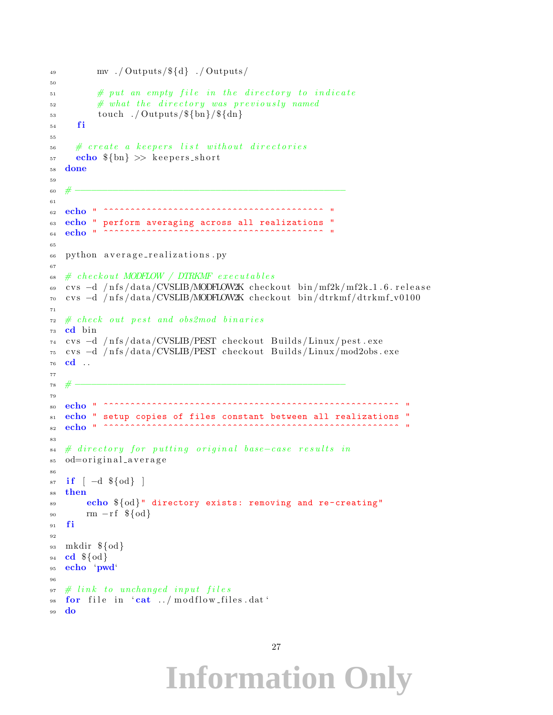```
\text{inv} . / Outputs / \{d\} . / Outputs /
50
\frac{1}{2} \frac{1}{2} \frac{1}{2} \frac{1}{2} \frac{1}{2} \frac{1}{2} \frac{1}{2} \frac{1}{2} \frac{1}{2} \frac{1}{2} \frac{1}{2} \frac{1}{2} \frac{1}{2} \frac{1}{2} \frac{1}{2} \frac{1}{2} \frac{1}{2} \frac{1}{2} \frac{1}{2} \frac{1}{2} \frac{1}{2} \frac{1}{2} \frac{4}{52} # what the directory was previously named
_{53} touch ./ Outputs/\{\text{bn}\}/\{\text{dn}\}54 fi
55
56 # create a keepers list without directories
\frac{1}{57} echo \{\text{bn}\} \gg \text{keepers} short
58 done
59
60 # −−−−−−−−−−−−−−−−−−−−−−−−−−−−−−−−−−−−−−−−−−−−−−−−−−
61
62 echo " ^^^^^^^^^^^^^^^^^^^^^^^^^^^^^^^^^^^^^^^^^ "
63 echo " perform averaging across all realizations "
64 echo \overline{\phantom{a}} \overline{\phantom{a}} \overline{\phantom{a}}6566 python average-realizations.py
67
68 # checkout MODFLOW / DTRKMF executables
69 cvs −d /nfs/data/CVSLIB/MODFLOW2K checkout bin/mf2k/mf2k_1.6.release
70 cvs −d /nfs/data/CVSLIB/MODFLOW2K checkout bin/dtrkmf/dtrkmf_v0100
71
72 # check out pest and obs2mod binaries
73 cd bin
74 cvs −d /nfs/data/CVSLIB/PEST checkout Builds/Linux/pest.exe
75 cvs −d /nfs/data/CVSLIB/PEST checkout Builds/Linux/mod2obs.exe
76 cd . .
77
78 # −−−−−−−−−−−−−−−−−−−−−−−−−−−−−−−−−−−−−−−−−−−−−−−−−−
79
80 echo " ^^^^^^^^^^^^^^^^^^^^^^^^^^^^^^^^^^^^^^^^^^^^^^^^^^^^^^^ "
81 echo " setup copies of files constant between all realizations "
82 echo " ^^^^^^^^^^^^^^^^^^^^^^^^^^^^^^^^^^^^^^^^^^^^^^^^^^^^^^^ "
83
\alpha_{4} # directory for putting original base-case results in
_{85} od=original_average
86
s7 if \begin{bmatrix} -d & \frac{6}{3} \end{bmatrix}88 then
89 echo ${od}" directory exists: removing and re -creating"
90 rm -rf \${od}
91 fi
92
93 mkdir ${od}
94 cd \{\odot d\}95 echo 'pwd'
96
97 \# link to unchanged input files98 for file in cat../modflow_files.dat
99 do
```

```
27
```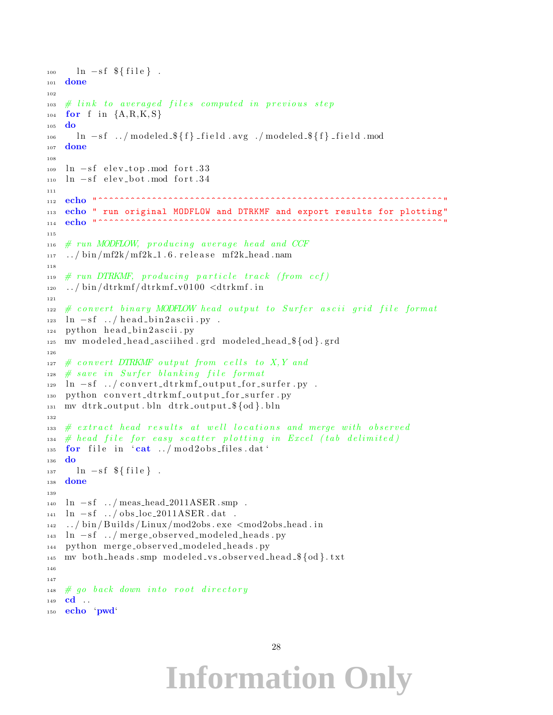```
_{100} ln -sf \{file\}.
101 done
102
_{103} \# link to averaged files computed in previous step
104 for f in {A, R, K, S}105 do
106 ln -sf../modeled \{f\} field .avg./modeled \{f\} field .mod
107 done
108
_{109} ln -sf elev_top mod fort .33
_{110} ln -sf elev_bot.mod fort.34
111
112 echo " ^^^^^^^^^^^^^^^^^^^^^^^^^^^^^^^^^^^^^^^^^^^^^^^^^^^^^^^^^^^^^^^^ "
113 echo " run original MODFLOW and DTRKMF and export results for plotting"
114 echo "^^^^^^^^^^^^^^^^
115
_{116} \# run MODFLOW, producing average head and CCF
117 ../bin/mf2k/mf2k_1.6.release mf2k_head.nam
118
_{119} # run DTRKMF, producing particle track (from ccf)
_{120} ../bin/dtrkmf/dtrkmf_v0100 <dtrkmf.in
121
122 \# convert binary MODFLOW head output to Surfer ascii grid file format
_{123} ln -sf ../head_bin2ascii.py.
_{124} python head_bin2ascii.py
125 mv modeled_head_asciihed.grd modeled_head_${od}.grd
126
_{127} # convert DTRKMF output from cells to X, Y and
_{128} # save in Surfer blanking file format
_{129} ln -sf ../ convert_dtrkmf_output_for_surfer.py.
130 python convert_dtrkmf_output_for_surfer.py
_{131} mv dtrk_output.bln dtrk_output_$\{od\}.bln
132
133 # extract head results at well locations and merge with observed
_{134} # head file for easy scatter plotting in Excel (tab delimited)
_{135} for file in 'cat ../mod2obs_files.dat'
136 do
_{137} ln −sf \{file\}.
138 done
139
_{140} ln -sf ../ meas_head_2011ASER.smp.
141 ln -sf ../obs_loc_2011ASER.dat.
142 ../bin/Builds/Linux/mod2obs.exe \ltqmod2obs_head.in
143 ln −sf ../ merge_observed_modeled_heads.py
144 python merge_observed_modeled_heads.py
_{145} mv both heads smp modeled vs observed head \{\dagger\}. txt
146
147
_{148} # go back down into root directory
149 cd ..
150 echo 'pwd'
```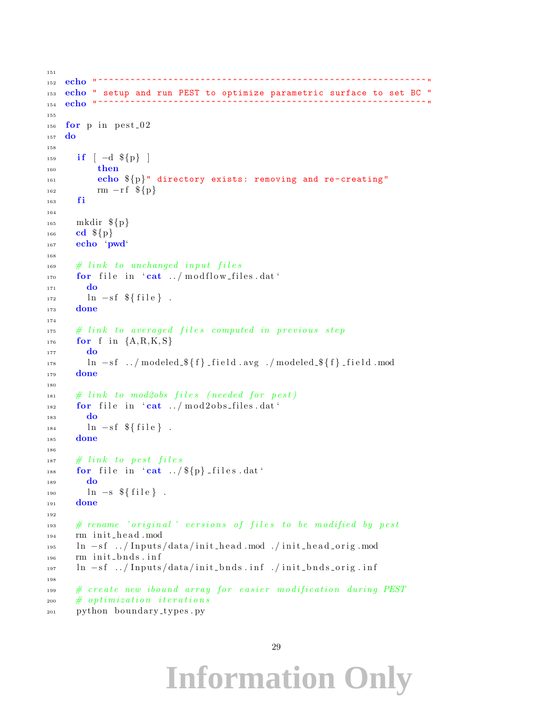```
151
152 echo " ^^^^^^^^^^^^^^^^^^^^^^^^^^^^^^^^^^^^^^^^^^^^^^^^^^^^^^^^^^^^^ "
153 echo " setup and run PEST to optimize parametric surface to set BC "
154 echo " ^^^^^^^^^^^^^^^^^^^^^^^^^^^^^^^^^^^^^^^^^^^^^^^^^^^^^^^^^^^^^ "
155
156 for p in pest 02
157 do
158
_{159} if [-d \\{p\}]160 then
161 echo \{p\}" directory exists: removing and re-creating"
\text{nm} - \text{rf} ${p}
163 fi
164
165 mkdir ${p}
_{166} cd \{p\}167 echo 'pwd'
168
169 # link to unchanged input files
170 for file in 'cat ../ modflow_files.dat'
171 do
172 \quad \ln -sf \ \{file\}.
173 done
174
175 # link to averaged files computed in previous step
_{176} for f in {A, R, K, S}177 do
178 ln -sf ../modeled \{f}{f} field .avg ./modeled \{f}{f} field .mod
179 done
180
181 # link to mod2obs files (needed for pest)
_{182} for file in 'cat ../mod2obs_files.dat'
183 do
184 \quad \ln -sf \ \{file}.
185 done
186
187 # link to pest files
188 for file in 'cat \ldots / \{p\} files dat '
189 do
_{190} ln -s \{\text{file}\}.
191 done
192
\# rename 'original' versions of files to be modified by pest
194 rm init_head . mod
195 ln −sf ../Inputs/data/init_head.mod ./init_head_orig.mod
_{196} rm init_bnds.inf
197 ln -sf ../Inputs/data/init_bnds.inf ./init_bnds_orig.inf
198
\# create new ibound array for easier modification during PEST
200 # optimization iterations
201 python boundary_types.py
```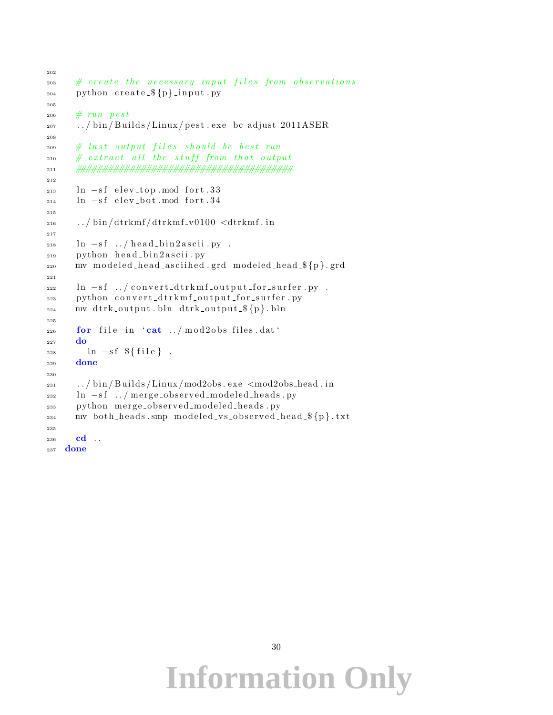```
202
203 # create the necessary input files from observations
_{204} python create _{p}{p} input . py
205
206 # run pest
207 \ldots / \text{bin/Builds/Linux/pest.} exe bc_adjust_2011ASER
208
209 # last output files should be best run
210 # extract all the stuff from that output
211 ########################################
212
213 ln -Sf elev_top mod fort .33
_{214} ln -sf elev_bot.mod fort.34
215
216 ... / bin /dtrkmf /dtrkmf_v0100 <dtrkmf.in
217
218 ln -sf ../head_bin2ascii.py.
_{219} python head_bin2ascii.py
220 mv modeled_head_asciihed.grd modeled_head_${p}.grd
221
222 ln -sf ../convert_dtrkmf_output_for_surfer.py.
223 python convert_dtrkmf_output_for_surfer.py
_{224} mv dtrk_output.bln dtrk_output_$\{p\}.bln
225
_{226} for file in 'cat ../mod2obs_files.dat'
227 do
228 ln -sf \{file\}.
229 done
230
231 ... / bin / Builds / Linux / mod2obs . exe <mod2obs head . in
232 ln -sf../merge_observed_modeled_heads.py
233 python merge_observed_modeled_heads.py
_{234} mv both heads . smp modeled vs observed head \{\rho\}. txt
235
236 cd . .
```

```
237 done
```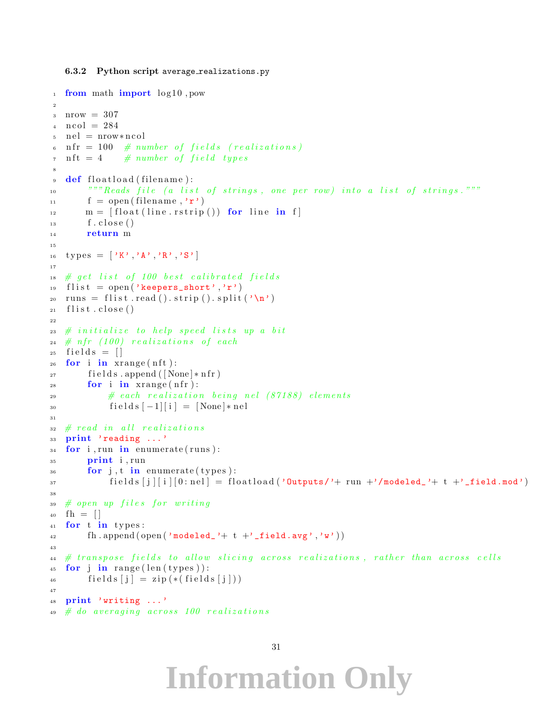#### 6.3.2 Python script average\_realizations.py

```
_1 from math import log 10, pow
2
3 \text{ nrow} = 307_4 n c o l = 284
   nel = nrow * ncol\text{nf } r = 100 \# number of fields (realizations)\tau n ft = 4 # number of field types
8
\theta def floatload (filename):
10 """ Reads file (a list of strings, one per row) into a list of strings."""
f = \text{open}(\text{filename}, 'r')m = [ float (line. rstrip ()) for line in f
\text{13} \quad \text{f. close} ()
14 return m
15
16 types = [\,'K', 'A' , 'R' , 'S' ]17
18 # get list of 100 best calibrated fields
19 flist = open ('keepers_short','r')
_{20} runs = flist read () strip () split (\,\cdot\, \setminus n\,)_{21} flist.close()
22
23 \# initialize to help speed lists up a bit24 # nfr (100) realizations of each
25 fields = \lceil \rceil26 for i in xrange (nft):
_{27} fields . append ([None] * nfr)
28 for i in xrange (nfr):
\# each realization being nel (87188) elements
30 fields [-1][i] = [None]*nel31
32 # read in all realizations
33 print 'reading ...'
34 for i, run in enumerate (runs):
35 print i, run
36 for j, t in enumerate (types):
\text{57} fields \text{5} \text{5} \text{6} \text{6} \text{6} \text{6} \text{6} \text{6} \text{6} \text{6} \text{6} \text{6} \text{6} \text{6} \text{6} \text{6} \text{6} \text{6} \text{6} \text{6} \text{6} \text{6} \text{6} \text{6} \text{6} \text{638
39 # open up files for writing
_{40} fh = [41 for t in types:
42 fh.append (open ('modeled_'+ t +'_field.avg','W'))
43
\# transpose fields to allow slicing across realizations, rather than across cells
45 for j in range (\text{len}(types)):
46 fields [j] = \text{zip} (*(\text{fields} [j]))47
48 print 'writing ...'
   # do averaging across 100 realizations
```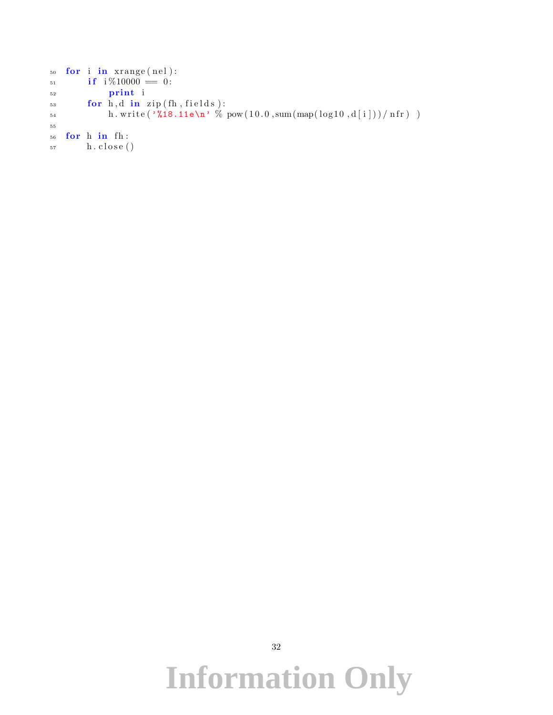```
_{50} for i in \mathrm{xrange}(\mathrm{nel}):
\mathbf{if} \quad \frac{1}{6} \times 10000 = 0:
52 pr int i
53 for h,d in zip (fh, fields):
54 h. write (\sqrt[3]{18.11e\{n\}} \% \ pow(10.0, sum(map(log10, d[i]))/nfr)55
56 for h in fh:
57 h. close ()
```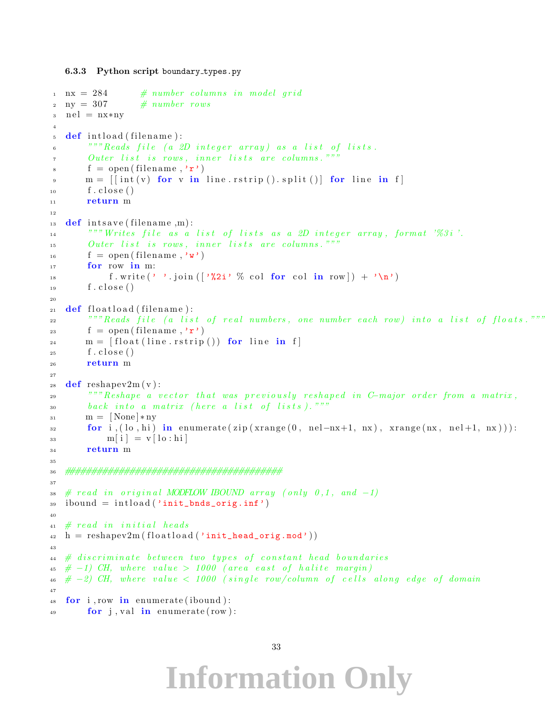```
6.3.3 Python script boundary types.py
```

```
\ln n = 284 # number columns in model grid
2 ny = 307 \# number rows
3 n el = nx∗ny
4
5 def intload (filename):
6 """ Reads file (a 2D integer array) as a list of lists.
7 0uter list is rows, inner lists are columns."""
\text{sign}(f = \text{open}(filename, \text{'r'})\mathbf{m} = \left[ \left[ \text{int}(\mathbf{v}) \text{ for } \mathbf{v} \text{ in line.} \right] \text{ is split} \left( \right) \right] \text{ for line in } f \right]_{10} f. close ()
11 return m
12
_{13} def intsave (filename,m):
14 """Writes file as a list of lists as a 2D integer array, format '%3i'.
15 Outer list is rows, inner lists are columns."""
_16 \qquad \text{f = open (filename, 'w') }17 for row in m:
18 f. write (''). join ( \frac{1}{2i}, \% col for col in row ) + \sqrt{n'}_{19} f. close ()
20
_{21} def floatload (filename):
<sup>22</sup> """Reads file (a list of real numbers, one number each row) into a list of floats."""
23 f = open (filename, r')
m = \left[ \text{float}(\text{line}. \text{rstring}() \right) \text{ for line in } f \right]25 \quad \text{f. close}()26 return m
27
28 def reshapev2m(v):
29 """ Reshape a vector that was previously reshaped in C−major order from a matrix,
30 back into a matrix (here a list of lists)."""
_{31} \text{ m} = [\text{None}]*\text{ny}\text{for } i, (\text{lo}, \text{hi}) in enumerate (zip (xrange (0, \text{nel}-nx+1, nx), xrange (nx, \text{nel}+1, nx))):
\text{33} \qquad \qquad \text{m}[\text{i}] = \text{v}[\text{lo:hi}]34 return m
35
36 ########################################
37
38 # read in original MODFLOW IBOUND array (only 0,1, and -1)
_{39} ibound = intload ('init_bnds_orig.inf')
40
41 # read in initial heads
_4<sup>2</sup> h = reshapev2m (floatload ('init_head_orig.mod'))
43
44 \# discriminate between two types of constant head boundaries
45 \# -1) CH, where value > 1000 (area east of halite margin)
\frac{46}{2} \neq -2) CH, where value \lt 1000 (single row/column of cells along edge of domain
47
48 for i, row in enumerate (ibound):
\mathbf{f} for j, val in enumerate (row):
```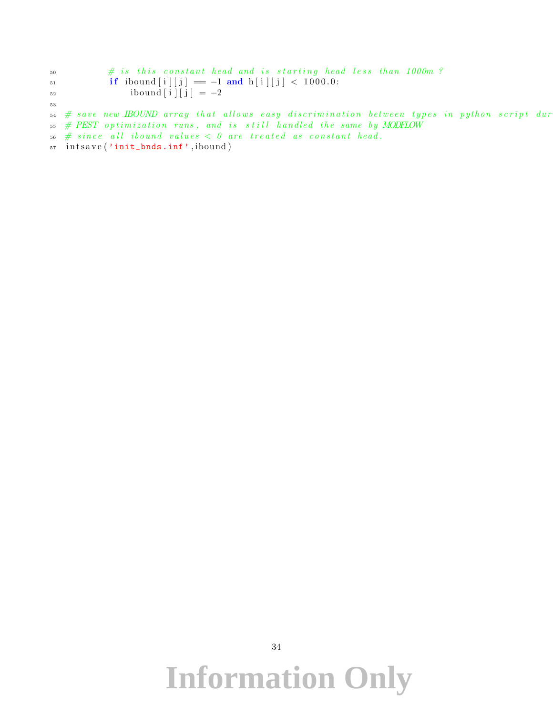$\#$  is this constant head and is starting head less than 1000m? 51 **if** ibound  $[i][j] = -1$  and  $h[i][j] < 1000.0$ :  $_{52}$  ibound [i] [j] = -2 53  $\begin{array}{cccccccccc} 54 & \# & save & new & \text{IBOUND} & array & that & allows & easy & distribution & between & types & in & python & script & dur \end{array}$  $55$  # PEST optimization runs, and is still handled the same by MODFLOW  $56$  # since all ibound values  $<$  0 are treated as constant head.

57 intsave ('init\_bnds.inf', ibound)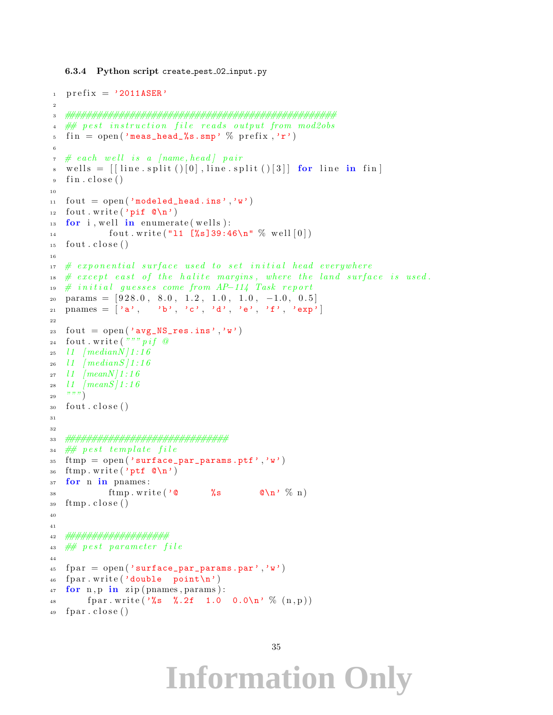#### 6.3.4 Python script create pest 02 input.py

```
i prefix = '2011ASER'
2
3 ##################################################
4 ## pest instruction file reads output from mod2obs
5 fin = open ('meas_head_%s.smp' % prefix,'r')
 6
\tau # each well is a [name, head] pair
\text{wells} = \left[ \text{line.split()}(0], \text{line.split()}(3] \right] for line in fin
9 \text{ fin } . \text{ close } ()10
_{11} fout = open ('modeled_head.ins','w')
12 fout write ('pif \mathbb{Q}_n')
13 for i, well in enumerate (wells):
14 fout . write ("11 \; [\%s]39:46\n^n \; \% \; well [0])_{15} fout _{\rm{close}} ()
16
17 # exponential surface used to set initial head everywhere
18 # except east of the halite margins, where the land surface is used.
19 \# initial \; guesses \; come \; from \; AP-114 \; Task \; report_{20} params = [928.0, 8.0, 1.2, 1.0, 1.0, -1.0, 0.5]_{21} pnames = \begin{bmatrix} \n\prime a', & \n\prime b', & \n\prime c', & \n\prime d', & \n\end{bmatrix}, \prime e', \prime f', \prime e x p'22
23 f out = open ('avg_NS_res.ins','w')
24 fout . write \left( \begin{array}{c} n & n \\ n & n \end{array} \right) of \omega25 11 \text{median} N / 1 : 16_{26} 11 (medians)1:1627 \quad l1 \quad |meanN/1:1628 l1 \ / \text{meanS} / 1 : 1629 \frac{y y y}{2}_{30} fout .close()31
32
33 ##############################
34 \# pest template file
35 ftmp = open('surface\_par\_params.ptf', 'w')36 ftmp. write ('ptf @ \n\in \mathbb{R})
37 for n in pnames :
38 ftmp.write \gamma \mathbf{C} \mathbf{C} \mathbf{C} \mathbf{C} \mathbf{C} \mathbf{D} \gamma \mathbf{C} \mathbf{D} \gamma \gamma \gamma39 ftmp.close()
40
41
42 ###################
43 # pest parameter file
44
45 fpar = open ('surface_par_params.par','w')
_{46} fpar. write ('double point\n')
47 for n, p in zip (pnames, params):
48 fpar.write ( \%s \%.2f 1.0 0.0\n' % (n, p))
_{49} fpar.close()
```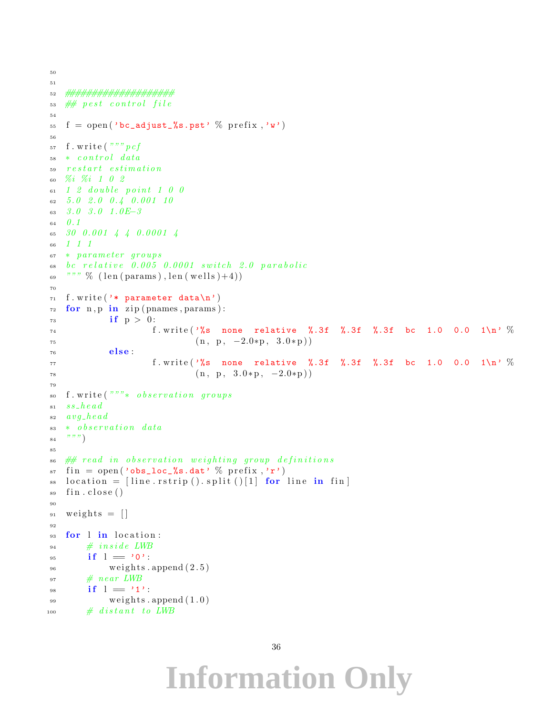```
50
51
52 ####################
53 # p est control file
54
55 f = open ('bc_adjust_%s.pst' % prefix,'w')
56
57 f.write ("") pcf
58 * control data59 restart estimation60 %i %i 1 0 2
61 \quad 1 \quad 2 \quad double \quad point \quad 1 \quad 0 \quad 062 5.0 2.0 0.4 0.001 1063 3.0 3.0 1.0E-3
64 0.165 30 0.001 4 4 0.0001 4
66 1 1 1
67 ∗ parame ter g r ou p s
68 bc relative 0.005 0.0001 switch 2.0 parabolic
\begin{pmatrix} 69 & \text{max } m & \text{min } m \\ 69 & \text{min } m & \text{min } m \end{pmatrix}, len (\text{well} s) + 4)70
71 f. write ('* parameter data\n')
\tau_2 for n, p in zip (pnames, params):
73 if p > 0:
74 f. write '%s none relative %.3f %.3f %.3f bc 1.0 0.0 1\n' %
(n, p, -2.0*p, 3.0*p)76 else:
\frac{77}{100} f. write \frac{1}{6} \frac{1}{6} and relative %.3f %.3f %.3f bc 1.0 0.0 1\n' %
\left( n, p, 3.0 * p, -2.0 * p \right)79
s_0 f. write \binom{m}{x} s \theta b servation groups
s_1 ss he ad82 \quad avg\_head83 * observation data
84 \binom{m}{3}85
\frac{1}{286} \frac{1}{28} read in observation weighting group definitions
\sin fin = open ('obs_loc_%s.dat' % prefix,'r')
\text{ss} location = [line.rstrip ().split ()[1] for line in fin]
_{89} fin.close()
90
_{91} weights = []
92
93 for l in location:
94 \# inside LWB
95 if l = '0':
^{96} weights append (2.5)97 \# near LWB
98 if l = '1':
^{99} weights append (1.0)100 # distant to LWB
```

```
36
```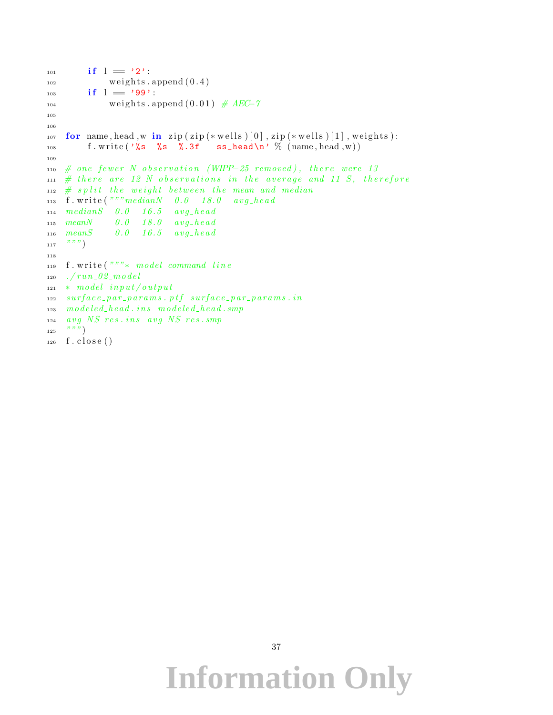```
_{101} if l = '2':102 \qquad \text{weights. append} (0.4)_{103} if l = '99':
104 \text{ weights } . \text{ append } (0.01) \# AEC-7105
106
107 for name, head, w in zip (zip (*wells )[0], zip (*wells )[1], weights):
108 f.write '%s %s %.3f ss_head\n' % (name, head, w))
109
110 # one fewer N observation (WIPP-25 removed), there were 13111 # there are 12 N observations in the average and 11 S, therefore
_{112} # split the weight between the mean and median
113 f. write ("""medianN 0.0 18.0 avg-head114 \text{ median}S 0.0 16.5 avg_head
115 meanN 0.0 18.0 avg_head
116 meanS 0.0 16.5 avg_head
117 \t\t m N118
119 f. write \left( \begin{array}{cc} n & m \\ r & r \end{array} \right) model command line
120 ./run_02_model_{121} * model input/output
122 surface_par_params.ptf surface_par_params.in
123 modeled\_head . ins modeled\_head . smp124 avg NS_{\texttt{S}} res. ins avg NS_{\texttt{S}} res. smp
125 """)
_{126} f. close ()
```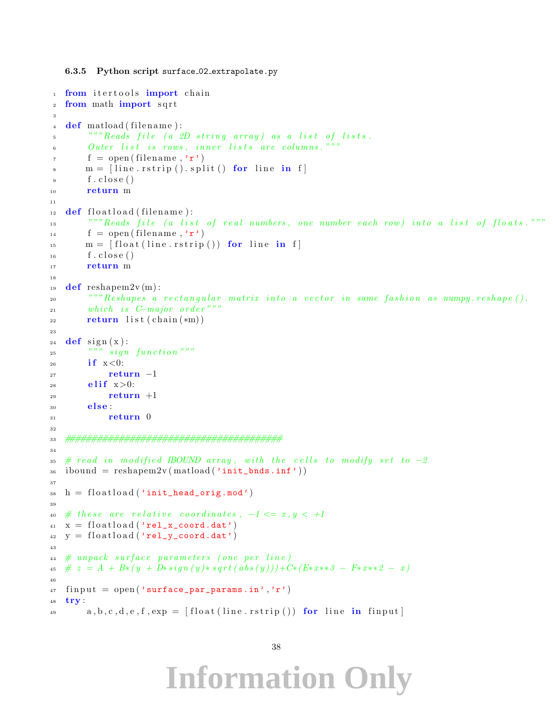6.3.5 Python script surface 02 extrapolate.py

```
1 from itertools import chain
2 from math import sqrt
3
\frac{4}{4} def matload (filename):
5 "" Reads file (a 2D string array) as a list of lists.
6 0uter list is rows, inner lists are columns."""
f = \text{open}(\text{filename}, 'r')\mathbf{m} = [\text{line}. \text{rstrip}() \text{.} \text{split}() \text{ for line in } f]\mathfrak{g} f. close ()
10 return m
11
_{12} def floatload (filename):
<sup>""</sup>" Reads file (a list of real numbers, one number each row) into a list of floats."""
f = \text{open}(\text{filename}, \text{'r'})m = \left[ float (line. rstrip ()) for line in f
_{16} f. close ()
17 return m
18
19 def reshapem2v(m):
20 """ Reshapes a rectangular matrix into a vector in same fashion as numpy.reshape ().
21 which is C-major order"""
_{22} return list (chain (*m))
23
_{24} def sign(x):
\begin{array}{cc}\n\text{25} & \text{325} \\
\text{26} & \text{275}\n\end{array}26 if x < 0:
27 return -128 elif x>0:
29 return +130 else:
31 return 0
32
33 ########################################
34
35 # read in modified IBOUND array, with the cells to modify set to -236 ibound = reshapem2v(matload('init_bnds.inf'))
37
s_8 h = floatload ('init_head_orig.mod')
39
\begin{array}{lll} 40 & \# \,\text{these} \,\text{are} \,\text{relative} \,\text{coordinates} \,\text{,} \,\text{--}1 \leq & x, y < \,\text{+-}1 \, \end{array}_{41} x = \text{floatload}('rel_xj] coord.dat')
_{42} y = floatload ('rel_y_coord.dat')
43
44 # unpack surface parameters (one per line)
45 \neq z = A + B*(y + D*sign(y)*sqrt(abs(y)))+C*(E*xx*3 - F*xx*2 - x)46
47 finput = open ('surface_par_params.in','r')
48 try :
a_9 a, b, c, d, e, f, exp = \left[\text{float}(\text{line}. \text{rstrip}))\right] for line in finput
```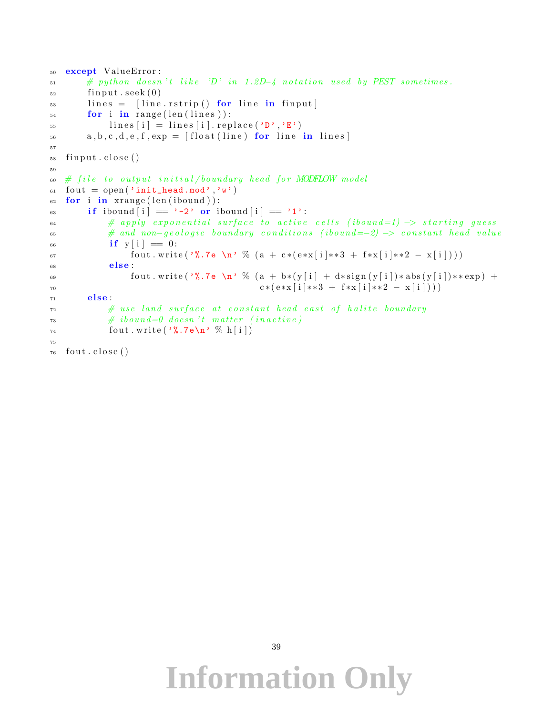```
50 except ValueError:
\mu_{\text{min}} # python doesn't like 'D' in 1.2D-4 notation used by PEST sometimes.
_{52} fin put . seek (0)_{53} lines = [line.rstrip() for line in finput]
_{54} for i in range (len (lines)):
\text{55} lines [i] = lines [i]. replace ('D','E')
_{56} a, b, c, d, e, f, _{exp} = [float (line) for line in lines]
57
58 fin put . close ()
59
60 \# file to output initial/boundary head for MODFLOW model
61 fout = open ('init_head.mod','W')
62 for i in \mathbf{x} range (len (ibound)):
63 if ibound |i| = '-2' or ibound |i| = '1':
\# apply exponential surface to active cells (ibound=1) \rightarrow starting guess
\begin{array}{ll}\n 65 \quad \text{#} \quad \text{and} \quad non-geological \quad boundary \quad conditions \quad (ibound==2) \implies constant \quad head \quad value\n \end{array}66 if y[i] = 0:
67 fout write ( '%.7e \n' % ( a + c * ( e * x [ i ] * * 3 + f * x [ i ] * * 2 - x [ i ] ) )
\begin{array}{ccc} 68 & \text{else} \end{array}69 fout . write ( '%.7e \n' % (a + b*(y[i] + d*sign(y[i]) * abs (y[i]) ** exp) +
70 c * (e * x [i] * * 3 + f * x [i] * * 2 - x [i]))71 else :
\# use land surface at constant head east of halite boundary
\# \;ibound=0 \;\; doesn \;'t \;\; matter \;\; (in active)_{74} fout . write (\sqrt[9]{\cdot 7e \cdot n}, \% h [i])
75
76 fout .close()
```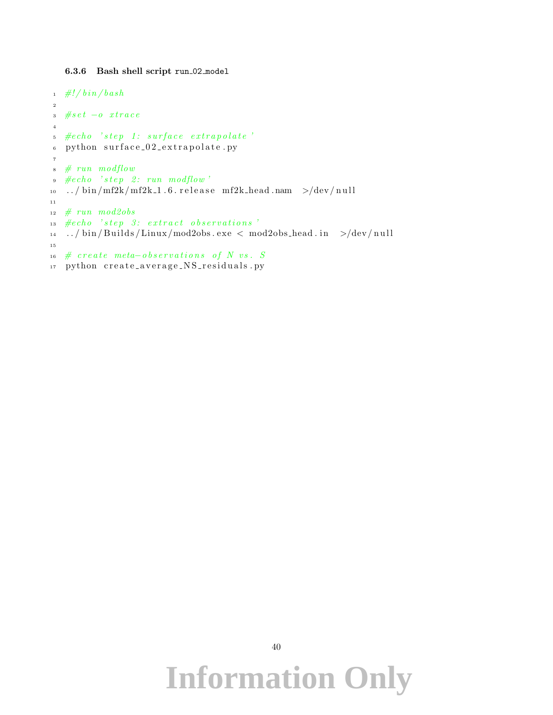6.3.6 Bash shell script run 02 model

```
_1 #!/bin/bash
2
3 #\# set - o xtrace
4
5 #echo 'step 1: surface extrapolate'
6 python surface_02_extrapolate.py
7
\ast # run modflow
\bullet \ \ \#echo \ \ 'step \ 2: run \ mod flow'10 ../bin/mf2k/mf2k_1.6.release mf2k_head.nam >/dev/null
11
12 # run mod2obs
13 #echo 'step 3: extract observations'
14 ../bin/Builds/Linux/mod2obs.exe < mod2obs_head.in >/dev/null
15
16 # create meta-observations of N vs. S
17 python create_average_NS_residuals.py
```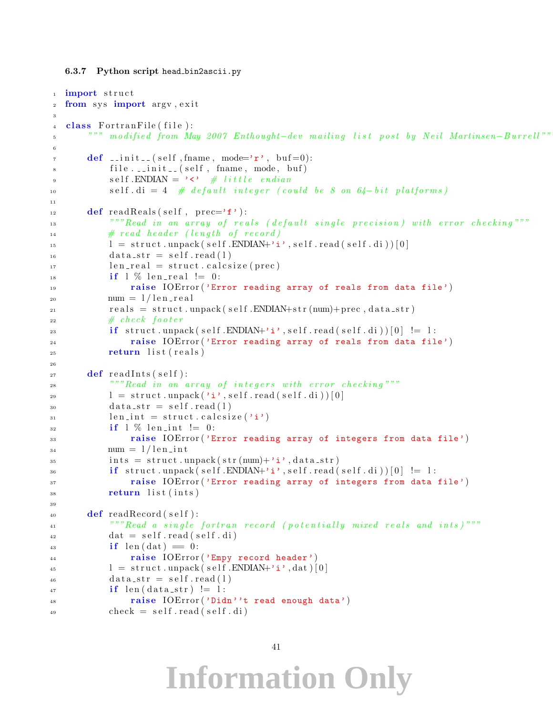```
6.3.7 Python script head bin2ascii.py
```

```
<sup>1</sup> import struct
2 from sys import argv, exit
3
4 class Fortran File (file):
5 """ modified from May 2007 Enthought−dev mailing list post by Neil Martinsen-Burrell""
6
\tau def .init. (self, fname, mode='r', buf=0):
8 file . __init__(self, fname, mode, buf)
9 \text{self.}\ \text{ENDIAN} = \text{'\checkmark} \neq \text{little} \text{endian}10 self. di = 4 # default integer (could be 8 on 64– bit platforms)
11
_{12} def read Reals (self, prec='f'):
<sup>""</sup>Read in an array of reals (default single precision) with error checking""
\# \ read \ header \ (length \ of \ record)15 \quad 15 \quad 1 = \text{struct.} unpack (self. ENDIAN+'i', self. read (self. di)) [0]
_{16} data_str = self.read(1)
17 \quad \text{len-real} = \text{struct} \cdot \text{calcsize} (\text{prec})_{18} if 1\% len_real != 0:
19 19 raise IOError ('Error reading array of reals from data file')
20 num = 1/len\_realr_{\text{e}a} = \text{struct.} \text{unpack}(\text{self.}\text{ENDIAN} + \text{str}(\text{num}) + \text{prec,} \text{data\_str})22 # check footer
23 if struct unpack (self. ENDIAN+'i', self. read (self. di) [0] != 1:
24 ra is e IOError ( 'Error reading array of reals from data file ')
<sup>25</sup> return list (reals)
26_{27} def read Ints (self):
<sup>28</sup> ""Read in an array of integers with error checking"""
29 \left[1 = \text{struct.} \text{unpack}(\text{'}i', \text{self.} \text{read}(\text{self.} \text{d}i'))[0]\right]_{30} d at a<sub>-</sub>str = self.read (1)
\lim_{n \to \infty} \ln t = \text{struct} \cdot \text{calcsize}(\lambda \cdot i)_{32} if \frac{1}{2} % len_int != 0:
33 raise IOError ('Error reading array of integers from data file')
_{34} num = 1/len\_int\int_{35} ints = struct.unpack (str (num)+'i', data_str)
_{36} if struct .unpack (self.ENDIAN+'i', self.read (self.di) [0] != 1:
37 raise IOError ('Error reading array of integers from data file')
38 return list (ints)
39
_{40} def readRecord (self):
<sup>"""</sup>Read a single fortran record (potentially mixed reals and ints)<sup>"""</sup>
_{42} dat = self.read (self.di)
i \mathbf{f} \text{ len}(\text{dat}) = 0:
44 raise IOError ('Empy record header')
1 = \text{struct} \cdot \text{unpack}(\text{self} \cdot \text{ENDIAN} + \text{'i'}, \text{dat})[0]_{46} data_str = self.read(1)
i if len (data_str) != 1:
48 raise IOError ('Didn''t read enough data')
_{49} check = self.read (self.di)
```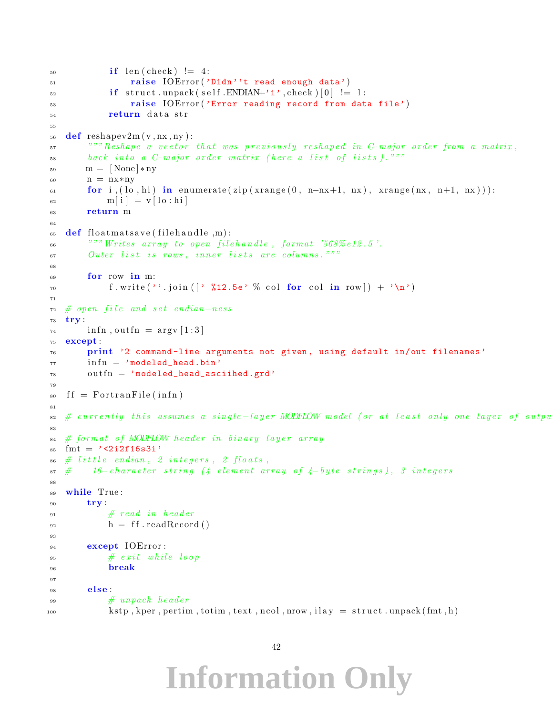```
\inf len ( check ) != 4:
51 raise IOError ('Didn''t read enough data')
\text{if} \quad \text{struct} \cdot \text{unpack} \left( \text{self} \cdot \text{ENDIAN} + \text{'i} \cdot \text{check} \right) \left[ 0 \right] \quad \text{!=} \quad 153 raise IOError ('Error reading record from data file')
54 return data_str
55
56 def reshapev2m (v, nx, ny):
57 """ Reshape a vector that was previously reshaped in C-major order from a matrix,
58 back into a C-major order matrix (here a list of lists). """
\text{59} \qquad \text{m} = |\text{None}| * \text{ny}60 n = nx∗ny
61 for i, ( lo, hi) in enumerate ( zip ( xrange (0, n-mx+1, nx), xrange (nx, n+1, nx) ) :
\begin{array}{c|c|c|c} \n\text{62} & \text{m} & \text{i} & \text{v} & \text{lo} & \text{hi} \n\end{array}63 return m
6465 def floatmatsave (filehandle, m):
\begin{array}{r@{\quad}l} \text{66} \end{array} ""Writes array to open filehandle, format '568%e12.5'.
67 Outer list is rows, inner lists are columns."""
68
69 for row in m:
\tau_0 f. write (''. join ( |' %12.5e' % col for col in row |) + '\n')
71
72 \# open file and set endian-ness
73 try :
_{74} infn, outfn = argv [1:3]
75 except :
76 print '2 command-line arguments not given, using default in/out filenames'
77 in fn = 'modeled_head.bin'
78 outfn = 'modeled_head_asciihed.grd'
79
_{80} ff = FortranFile (infn)
81s_2 \# currently this assumes a single-layer MODFLOW model (or at least only one layer of output
83
\alpha_{\mathbf{S}4} # format of MODFLOW header in binary layer array
\text{sn} fmt = '<2i2f16s3i'
\begin{array}{cccc} \text{86} & \text{#} & \text{little} & \text{endian} \text{,} & \text{2} & \text{integers} \text{,} & \text{2} & \text{floats} \text{,} \end{array}\frac{1}{287} # 16-character string (4 element array of 4-byte strings), 3 integers
88
89 while True :
90 try:
\# \ read \ in \ headerh = \text{ff} \cdot \text{readRecord}()93
94 except IOError:
95 \# exit while loop
96 break
97
98 else:
99 \# unpack header
100 kstp, kper, pertim, totim, text, ncol, nrow, ilay = struct. unpack (fmt, h)
```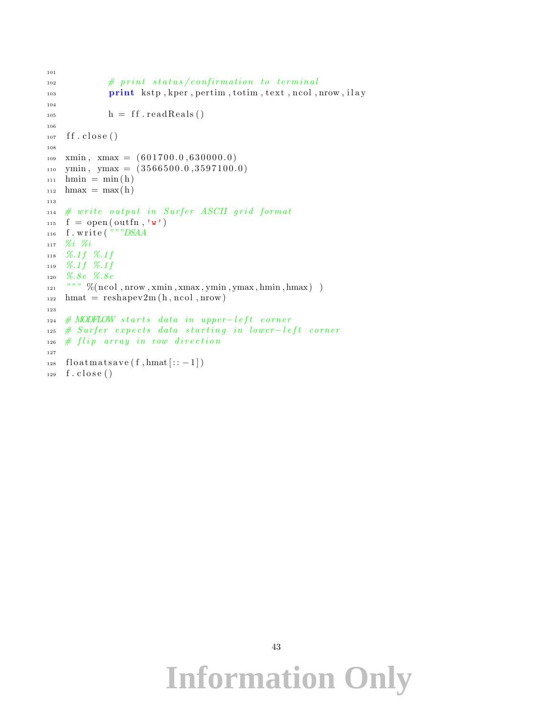```
101
\# print status/confirmation to terminal
103 print kstp, kper, pertim, totim, text, ncol, nrow, ilay
104
h = \text{ff}\cdot\text{readReals}()106
_{107} ff.close()
108
_{109} xmin, xmax = (601700.0, 630000.0)_{110} ymin, ymax = (3566500.0, 3597100.0)_{111} hmin = min(h)
_{112} hmax = max(h)
113
114 # write output in Surfer ASCII grid format
_{115} f = open (outfn, 'w')
116 f. write ("""DSAA
117 %i %i
118 %.1 f %.1 f
119 \% .1f \% .1f120 %.8e %.8e
\lim_{121} """ % (ncol, nrow, xmin, xmax, ymin, ymax, hmin, hmax))
_{122} hmat = reshapev2m (h, ncol, nrow)
123
_{124} # MODFLOW starts data in upper-left corner
125 # Surfer expects data starting in lower-left corner
_{126} # flip array in row direction
127
128 floatmatsave (f, hmat[::-1])_{129} f. close ()
```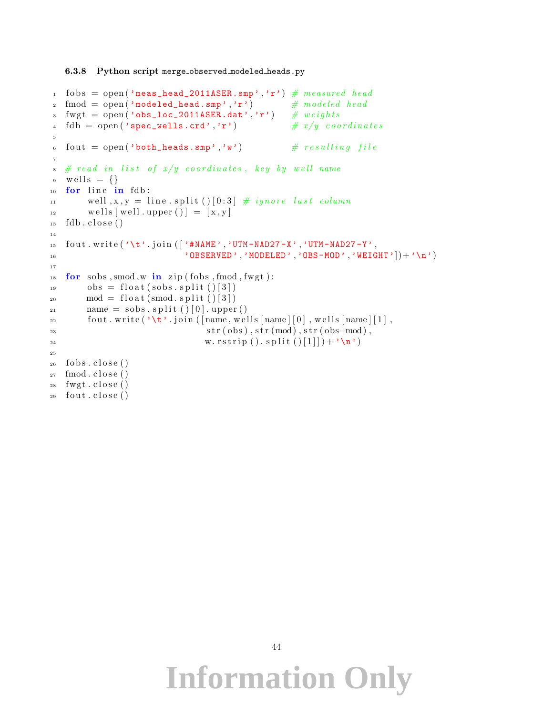#### 6.3.8 Python script merge observed modeled heads.py

```
1 fobs = open ('meas_head_2011ASER.smp','r') \# measured head
2 fmod = open('modeled\_head.sum', 'r') # modeled head
3 fwgt = open('obs\_loc\_2011ASER.dat', 'r') # weights4 fdb = open('spec\_wells.crd', 'r') \# x/y coordinates
5
6 fout = open ('both_heads.smp','w') \# resulting file
7
\frac{1}{8} # read in list of x/y coordinates, key by well name
9 \text{ well} \text{ s } = \{\}_{10} for line in fdb:
11 well, x, y = line \nvert (0:3] \# ignore last column\text{well} \left[ \text{well} \cdot \text{upper} \left( \right) \right] = \left[ \text{x}, \text{y} \right]_{13} fdb.close()
14
15 f out . write (\n\chi^{\star} \cdot \text{join } (\n\chi^{\star} \cdot \text{mAME'} \cdot \n, \n\chi^{\star} \cdot \text{m-MAD27} - \chi^{\star} \n, \n\chi^{\star} \cdot \text{m-MAD27} - \chi^{\star} \n, \n\chi^{\star} \cdot \text{m} \cdot \text{m} \cdot \text{m} \cdot \text{m} \cdot \text{m} \cdot \text{m} \cdot \text{m} \cdot \text{m} \cdot \text{m} \cdot \text{m} \cdot \text{m} \cdot \text{m} \cdot \text{m} \cdot \text{^{16} 'OBSERVED', 'MODELED', 'OBS-MOD', 'WEIGHT' \vert +'\n')
17
18 for sobs, smod, w in zip (fobs, fmod, fwgt):
_{19} obs = float (sobs. split ()[3])
_{20} \qquad \mod = \text{float}(\text{smooth}, \text{split}() [3])_{21} name = sobs . split () [0] . upper ()
22 fout write (\forall t'.join([name,wells[name][0],wells[name][1],\text{str}(\text{obs}), \text{str}(\text{mod}), \text{str}(\text{obs}-\text{mod}),v \cdot \text{rstrip}(\cdot) \cdot \text{split}(\cdot)[1]] + '\n')
25
_{26} fobs.close()
27 \mod close ()
28 fwgt.close()
29 fout .close()
```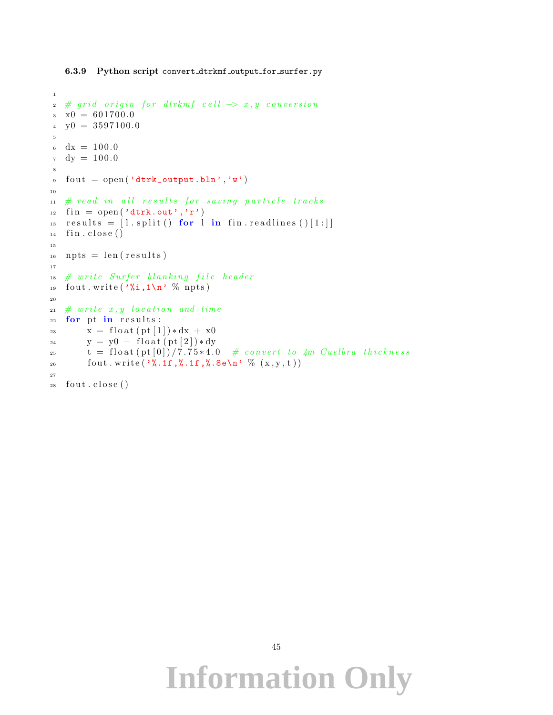1

```
2 \# grid \ origin \ for \ dtrkmf \ cell \ \rightarrow \ x \, , \ y \ conversion\alpha \times 0 = 601700.0_4 y0 = 3597100.0
5
dx = 100.0v_7 dy = 100.0
8
\theta fout = open ('dtrk_output.bln','w')
10
11 # read in all results for saving particle tracks
12 fin = open ('dtrk.out','r')
13 results = [1.split() for l in fin. readlines () [1:]]_{14} fin.close()
15
_{16} npts = len (results)
17
18 # write Surfer blanking file header
19 fout . write (\sqrt[3]{\mathbf{i}}, 1 \n\sqrt{n}, \sqrt[6]{n} npts)
20
21 \# write x, y location and time
22 for pt in results:
23 x = \text{float}(\text{pt}[1]) * dx + x024 y = y0 - float (pt [2]) * dyt = \text{float}(\text{pt}[0])/7.75*4.0 \# convert to 4m Cuelbra thickness26 fout write (\frac{1}{2}, 1f, \frac{1}{2}, 1f, \frac{1}{2}, 8e\pi' \frac{1}{2} (x, y, t)27
28 fout .close()
```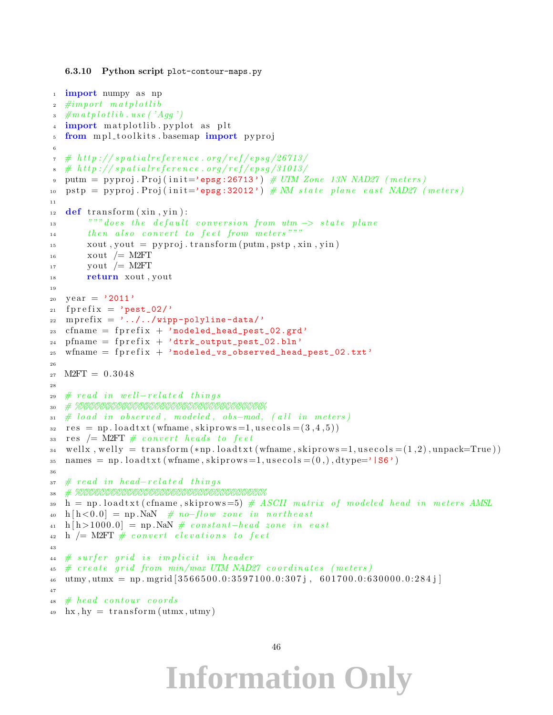```
6.3.10 Python script plot-contour-maps.py
```

```
<sup>1</sup> import numpy as np
\hat{z} #import matplotlib
\frac{1}{3} #matplotlib.use ('Agg')
  import matplotlib pyplot as plt
5 from mpl_toolkits.basemap import pyproj
6
\tau # http://spatialreference.org/ref/epsg/26713/
\frac{1}{2} # http://spatialreference.org/ref/epsg/31013/
9 putm = pyproj. Proj(init='epsg:26713') \# UTM Zone 13N NAD27 (meters)
10 pstp = pyproj. Proj(init='epsg:32012') \# MM state plane east NAD27 (meters)
11
_{12} def transform (xin, vin):
13 """ does the default conversion from utm \rightarrow state plane
14 then also convert to feet from meters"""
_{15} xout , yout = pyproj . transform (putm, pstp, xin, yin)
_{16} xout /= M2FT
_{17} yout /= M2FT
<sup>18</sup> return xout, yout
19
_{20} year = '2011'
_{21} fprefix = 'pest_02/'
22 mprefix = \cdot../../wipp-polyline-data/'
_{23} cfname = fprefix + 'modeled_head_pest_02.grd'
_{24} pfname = fprefix + 'dtrk_output_pest_02.bln'
_{25} wfname = fprefix + 'modeled_vs_observed_head_pest_02.txt'
26_{27} M2FT = 0.3048
28
29 \# read in well-related things30 # %%%%%%%%%%%%%%%%%%%%%%%%%%%%%%%%%%%
31 \# load in observed, modeled, obs-mod, (all in meters)
s<sub>2</sub> res = np. loadtxt (wfname, skiprows = 1, usecols = (3, 4, 5))
33 res /= M2FT \# convert heads to feet
_{34} wellx, welly = transform (*np.loadtxt(wfname, skiprows=1,usecols=(1,2), unpack=True))\alpha_{35} names = np. load txt (wfname, skiprows = 1, usecols = (0,), dtype=' |S6')
36
37 # read in head-related things
38 # %%%%%%%%%%%%%%%%%%%%%%%%%%%%%%%%%%%
\mathbf{a}_1 = \mathbf{a}_2 \cdot \mathbf{b}_1 is a denoted the control of the set of modeled head in meters AMSL
h \, h < 0.0 = np. NaN \# no-flow zone in northeast
_{41} h [h > 1000.0] = np. NaN # constant-head zone in east
_42 h \neq M2FT \# convert elevations to feet
43
44 # surfer grid is implicit in header
45 \# create grid from min/max UTM NAD27 coordinates (meters)
_{46} utmy, utmx = np. mgrid [3566500.0:3597100.0:307j, 601700.0:630000.0:284j]
47
48 # head contour coords
  hx, hy = transform (utmx, utmy)
```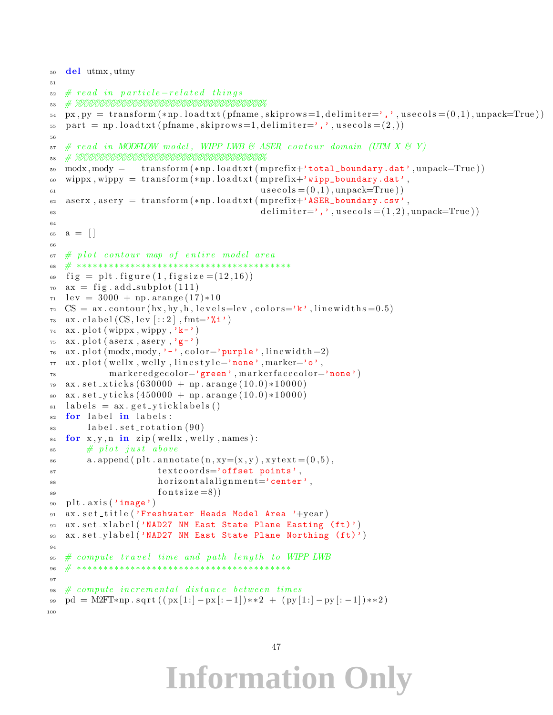```
50 del utmx , utmy
51
52 \# read in particle-related things53 # %%%%%%%%%%%%%%%%%%%%%%%%%%%%%%%%%%%
\mathbf{S}_{4} px, py = transform (*np. loadtxt (pfname, skiprows = 1, delimiter=',', usecols = (0,1), unpack=True))
\sigma_{55} part = np. loadtxt (pfname, skiprows=1, delimiter=',', usecols = (2,))
56
57 \# \text{ read in MODFLOW model}, \text{ WIPP LWB} \& \text{ASER contour domain (UTM X & T) }58 # %%%%%%%%%%%%%%%%%%%%%%%%%%%%%%%%%%%
59 modx, mody = transform (*np. loadtxt (mprefix+'total_boundary.dat', unpack=True))
60 wippx, wippy = transform (*np. loadtxt (mprefix+'wipp_boundary.dat',
\text{use} \cos\left(\frac{1}{6}a\right), unpack=True)
62 aserx, asery = transform (*np. loadtxt (mprefix+'ASER_boundary.csv',
\text{delimiter} =',', \text{usecols} = (1, 2), \text{unpack} = \text{True})
6465 \quad a = []66
67 \# plot \ contour \ map \ of \ entire \ model \ area68 # ∗∗∗∗∗∗∗∗∗∗∗∗∗∗∗∗∗∗∗∗∗∗∗∗∗∗∗∗∗∗∗∗∗∗∗∗∗∗∗∗
69 fig = plt. figure (1, figgsize = (12, 16))70 \text{ ax} = \text{fig} \cdot \text{add\_subplot}(111)71 \text{ lev} = 3000 + \text{np.} \text{arange} (17) * 10\tau_2 CS = ax. contour (hx, hy, h, levels=lev, colors='k', linewidths=0.5)
\alpha ax. clabel \text{(CS, lev}[:2], \text{fmt}='%i')74 ax. plot (wippx, wippy, 'k<sup>-'</sup>)
75 ax. plot (aserx, asery, 'g-')
76 ax. plot (modx, mody, \cdot-\cdot, color='purple', linewidth=2)
77 ax. plot (wellx, welly, linestyle='none', marker='o',
78 markeredgecolor='green', markerfacecolor='none')
79 \text{ ax.} \set{set\_xticks(630000 + np.arange(10.0) * 10000)}80 ax \cdot set\_yticks(450000 + np.arange(10.0)*10000)_{81} labels = ax.get.yticklabels()s<sub>2</sub> for label in labels:
_{83} label.set_rotation (90)s_4 for x, y, n in zip (wellx, welly, names):
\frac{1}{2} \frac{1}{2} \frac{1}{2} \frac{1}{2} \frac{1}{2} \frac{1}{2} \frac{1}{2} \frac{1}{2} \frac{1}{2} \frac{1}{2} \frac{1}{2} \frac{1}{2} \frac{1}{2} \frac{1}{2} \frac{1}{2} \frac{1}{2} \frac{1}{2} \frac{1}{2} \frac{1}{2} \frac{1}{2} \frac{1}{2} \frac{1}{2} \alpha a . append ( plt . annotate (n, xy=(x, y), xytext{ text} = (0, 5),\text{text} textcoords='offset points',
88 horizontalalignment='center',
s<sub>9</sub> fontsize =8))
90 plt. axis ('image')
91 ax. set_title ('Freshwater Heads Model Area '+year)
92 ax.set_xlabel('NAD27 NM East State Plane Easting (ft)')
93 ax.set_ylabel('NAD27 NM East State Plane Northing (ft)')
94
\frac{1}{25} \# compute travel time and path length to WIPP LWB
 96 # ∗∗∗∗∗∗∗∗∗∗∗∗∗∗∗∗∗∗∗∗∗∗∗∗∗∗∗∗∗∗∗∗∗∗∗∗∗∗∗∗
97
98 # compute incremental distance between times
99 pd = M2FT*np.sqrt ((px[1:-px[-1])**2 + (py[1:-1]-py[-1])**2)100
```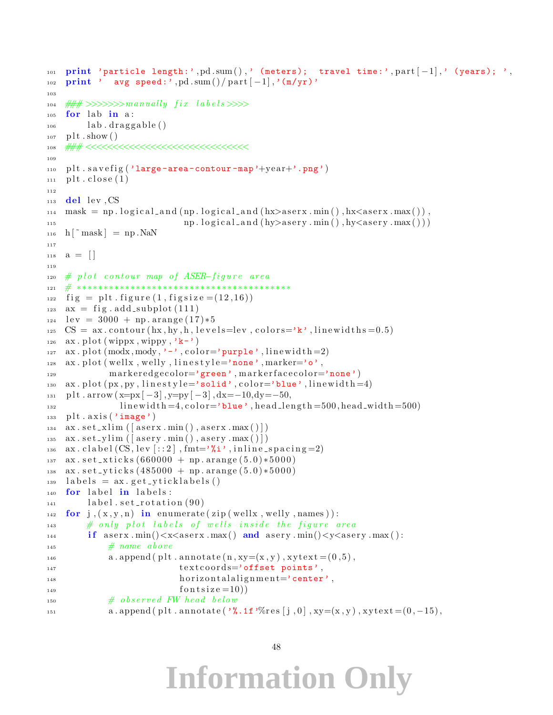```
101 print 'particle length:', pd. sum (),' (meters); travel time:', part [-1],' (years); ',
_{102} print ' avg speed:', pd.sum()/part [-1], '(m/yr)'
103
104 \# \# \gg >> >> \times \# \# \ fix labels >> >_{105} for lab in a:
_{106} lab. draggable ()
_{107} plt.show()
108 ### <<<<<<<<<<<<<<<<<<<<<<<<<<<<<<
109
_{110} plt.savefig ('large-area-contour-map'+year+'.png')
_{111} plt.close (1)112
_{113} del lev, CS
_{114} mask = np. logical_and (np. logical_and (hx>aserx.min(), hx<aserx.max()),
115 np. l o g i c a l a n d ( hy \alpha s e r y . min ( ), hy \alpha s e r y . max ( ) ) )
_{116} h \lceil \text{^{\sim}} \text{mask} \rceil = \text{np} \cdot \text{NaN}117
118 \quad a = []119
_{120} # plot contour map of ASER-figure area
121 # ∗∗∗∗∗∗∗∗∗∗∗∗∗∗∗∗∗∗∗∗∗∗∗∗∗∗∗∗∗∗∗∗∗∗∗∗∗∗∗∗
_{122} fig = plt. figure (1, figgsize = (12, 16))_{123} ax = fig. add_subplot (111)_{124} lev = 3000 + np. arange (17)*5\text{CS} = \text{ax contour}(\text{hx}, \text{hy}, \text{h}, \text{levels} = \text{lev}, \text{colors} = \text{'k'}, \text{linewidths} = 0.5)_{126} ax. plot (wippx, wippy, 'k-')
127 ax.plot (\text{mod}x, \text{mod}y, \text{'-}, \text{color='purple'}, \text{line'}, \text{linewidth=2})_{128} ax. plot (wellx, welly, linestyle='none', marker='o',
129 markeredgecolor='green', markerfacecolor='none')
130 ax. plot (px, py, linestyle='solid', color='blue', linewidth=4)131 p l t . arrow (x=px[-3], y=py[-3], dx=-10, dy=-50,132 linewidth=4, color='blue', head_length=500, head_width=500)
_{133} plt. axis('image')134 ax . set \exists x l im ( [ as erx . min ( ), as erx . max ( ) ] )
\alpha x \cdot \text{set\_vlim} ( [ \text{asery .min} ), \alpha \text{sery .max} ( ) ])
_{136} ax. clabel (CS, \text{lev}[:2], \text{fmt}=\gamma\i', inline_spacing=2)
137 \text{ ax. set\_xticks (660000 + np.arange (5.0) * 5000)}138 ax \cdot set \text{-yticks} (485000 + np \cdot arange (5.0) * 5000)_{139} labels = ax.get_vticklabels()_{140} for label in labels:
_{141} label.set_rotation (90)142 for j, (x, y, n) in enumerate (zip (wellx, welly, names)):
\# only plot labels of wells inside the figure area
\text{if } \text{as} \text{er} \text{x} \cdot \text{min}() \leq x \leq \text{as} \text{er} \text{x} \cdot \text{max}() \text{ and } \text{as} \text{er} \text{y} \cdot \text{min}() \leq y \leq \text{as} \text{er} \text{y} \cdot \text{max}():
\# \ name \ abovea \cdot \text{append}(\text{plt} \cdot \text{annotate}(\text{n}, \text{xy} = (\text{x}, \text{y}), \text{xytext} = (\text{0}, 5),147 textcoords='offset points',
148 horizontalalignment='center',
149 f o n t s i z e = 10)
\# \; observed \; FW \; head \; belowa \cdot \text{append}(\text{plt} \cdot \text{annotate}(\text{ % } s \cdot \text{if 'Wres}[\text{j}, 0], \text{xy=(x, y)}, \text{xytext=(0, -15)},
```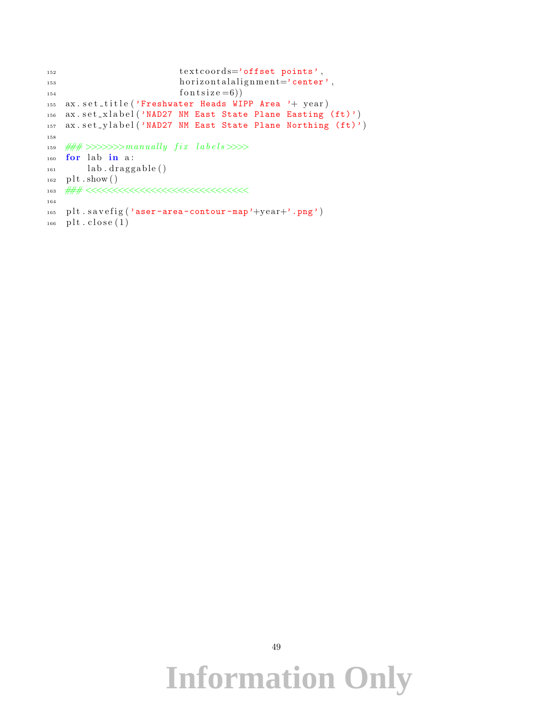```
152 textcoords='offset points',
153 h orizontal alignment='center',
154 f o n t s i z e = 6))
155 ax.set_title ('Freshwater Heads WIPP Area '+ year)
156 ax.set_xlabel('NAD27 NM East State Plane Easting (ft)')
157 ax.set_ylabel('NAD27 NM East State Plane Northing (ft)')
158
159 \# \# \gg>>>>>maxually fix labels>>>>
_{160} for lab in a:
_{161} lab.draggable()
_{162} plt.show()
163 ### <<<<<<<<<<<<<<<<<<<<<<<<<<<<<<
164
_{165} plt.savefig ('aser-area-contour-map'+year+'.png')
_{166} plt.close (1)
```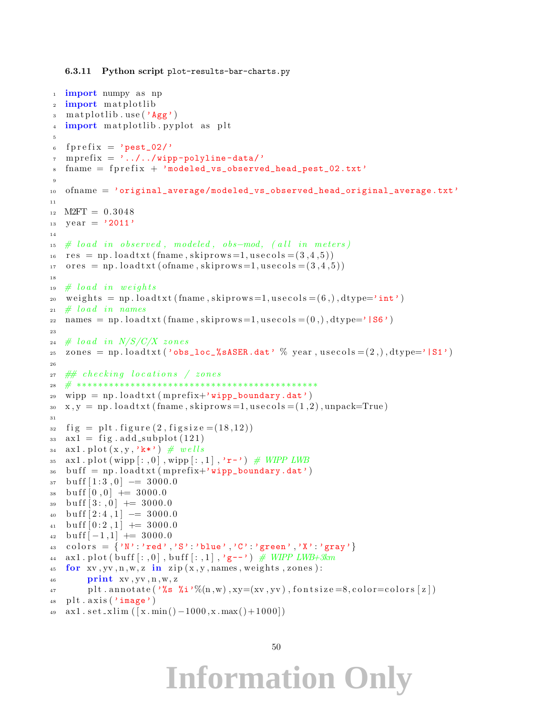```
6.3.11 Python script plot-results-bar-charts.py
```

```
<sup>1</sup> import numpy as np
2 import matplotlib
3 matplotlib.use ('Agg')
4 import matplotlib pyplot as plt
 5
6 fprefix = 'pest_02/'
\tau mprefix = \prime \ldots / \ldots / wipp-polyline-data/'
s fname = fprefix + 'modeled_vs_observed_head_pest_02.txt'
9
10 ofname = 'original_average/modeled_vs_observed_head_original_average.txt'
11
_{12} M2FT = 0.3048
_{13} year = '2011'
14
15 \# load in observed, modeled, obs-mod, (all in meters)
res = np. loadtxt (fname, skiprows = 1, usecols = (3, 4, 5))
17 ores = np. load txt (of name, skip rows = 1, usecols = (3, 4, 5))
18
19 \# load in weights20 weights = np.loadtxt (fname, skiprows=1, usecols = (6,), dtype='int')
21 \# load in names
22 names = np.loadtxt (fname, skiprows=1, usecols = (0,), dtype='|S6')
23
_{24} # load in N/S/C/X zones
_{25} zones = np.loadtxt('obs_loc_%sASER.dat' % year, usecols = (2,.), dtype='|S1')
2627 \# checking locations / zones
28 # ∗∗∗∗∗∗∗∗∗∗∗∗∗∗∗∗∗∗∗∗∗∗∗∗∗∗∗∗∗∗∗∗∗∗∗∗∗∗∗∗∗∗∗∗∗
_{29} wipp = np. loadtxt (mprefix+'wipp_boundary.dat')
\alpha_3, x, y = np. loadtxt (fname, skiprows = 1, usecols = (1,2), unpack=True)
31
_{32} fig = plt. figure (2, figgsize = (18, 12))33 ax1 = fig . add_subplot (121)34 ax1. plot(x, y, 'k*) \# wells35 ax1. plot (wipp[:, 0], wipp[:, 1], 'r-') \text{ # } WIPP LWB36 buff = np.loadtxt (mprefix+'wipp_boundary.dat')
37 \text{ but } f[1:3,0] \rightarrow 3000.038 \text{ but } f [0, 0] \rightarrow 3000.039 buff [3:,0] \leftarrow 3000.0
_{40} buff [2:4,1] - 3000.0
_{41} buff [0:2,1] \neq 3000.042 \text{ buff}[-1,1] \rightarrow 3000.043 colors = \{N': \text{'red'}, \text{'}S': \text{'}blue', \text{'}C': \text{'}green', \text{'}X': \text{'}gray'\}44 ax1. plot (buff [:,0], buff [:,1], 'g--') # WIPP LWB+3km
45 for xy, yy, n, w, z in zip(x, y, names, weights, zones):
46 print xv, yv, n, w, z47 plt . annotate (\cdot %s \chii'%(n, w), xy=(xv, yv), fontsize =8, color=colors [z])
48 plt. axis('image')49 ax1 \cdot set \cdot x \cdot \text{lim} ( [x \cdot \text{min}() -1000, x \cdot \text{max}() +1000] )
```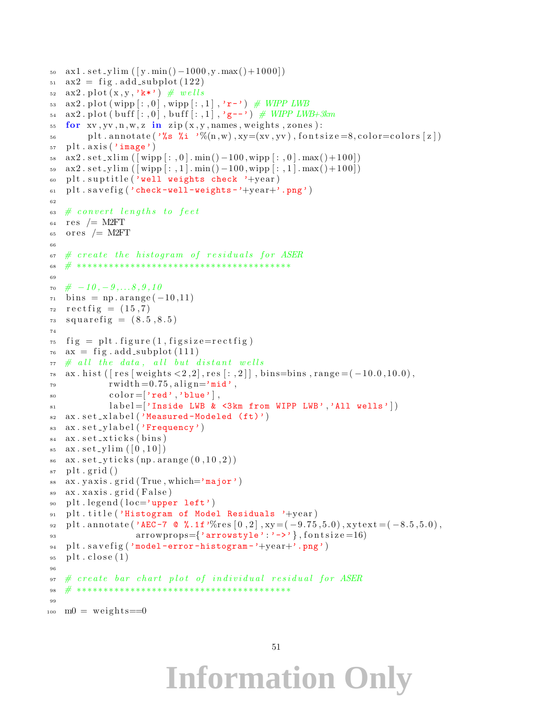```
50 \text{ ax1} \cdot \text{set\_vlim} ( [v . min () -1000 \text{ y} \cdot \text{max} () +1000 ))
51 ax2 = fig. add_subplot (122)\alpha ax2. plot (x, y, 'k*) # wells
53 ax2. plot (wipp [:, 0], wipp [:, 1], 'r-') # WIPP LWB
54 ax2. plot (buff [:,0], buff [:,1], 'g--') # WIPP LWB+3km
55 for xy, yy, n, w, z in zip(x, y, names, weights, zones):
_{56} plt . annotate (\sqrt[3]{s} \sqrt[3]{u}, \sqrt[3]{u}, xy=(xv, yv), fontsize =8, color=colors [z])
_{57} plt. axis('image')58 ax2 \cdot set \cdot x \cdot \text{lim} ([wipp[:, 0], min() -100, wipp[:, 0], max() +100])59 ax2 \cdot set\_y \lim (\vert \text{wipp} \vert : , 1 \vert \cdot \min() - 100, \text{wipp} \vert : , 1 \vert \cdot \max() + 100 \vert)60 plt . suptitle ('well weights check '+year)
_{61} plt .\s{savefig('check-well-weights-'+year+)}, _{png'})
62
\epsilon<sub>63</sub> \# convert lengths to feet
res /= M2FT
65 ores /= M2FT
66
67 # create the histogram of residuals for ASER
68 # ∗∗∗∗∗∗∗∗∗∗∗∗∗∗∗∗∗∗∗∗∗∗∗∗∗∗∗∗∗∗∗∗∗∗∗∗∗∗∗∗
69
70 \# -10, -9, \ldots 8, 9, 1071 \text{ bins} = np \cdot \text{arange}(-10,11)r_2 \text{ rectfig} = (15, 7)73 \quad squarefig = (8.5, 8.5)74
\tau<sup>5</sup> fig = plt. figure (1, figsize=rectfig)
76 \text{ ax} = \text{fig} \cdot \text{add\_subplot}(111)77 # all the data, all but distant wells
\pi s ax . h ist ( \lceil \text{res} \rceil weights \langle 2, 2 \rceil, res \lceil : 2 \rceil , bins=bins, range = (-10.0, 10.0),
\text{rwidth} = 0.75, \text{align} = \text{'mid'},
\text{color} = [\text{'red'}, \text{'blue'}],\begin{bmatrix} 81 & 1 \end{bmatrix} label = \begin{bmatrix} 7 & 1 \end{bmatrix} inside LWB & <3km from WIPP LWB', 'All wells' \begin{bmatrix} 1 & 0 \end{bmatrix}\alpha ax \sec \cosh(x) and \cosh(y) \sec \cosh(y) \sinh(y) \cosh(y)83 ax.set_ylabel('Frequency')
\alpha ax. \text{set}-xticks (bins)
\text{ss}_{\text{as}} \text{ax} \cdot \text{set}_{\text{sym}}([0,10])\alpha ax \sec - \text{ytic} ks (np. arange (0, 10, 2))
_{87} plt.grid()
88 ax. y axis. grid (True, which='major')89 ax. xaxis.grid (False)
90 plt.legend (loc='upper left')91 plt.title ('Histogram of Model Residuals '+year)
92 plt. annotate ('AEC-7 \& %.1f'%res [0, 2], xy = (-9.75,5.0), xytext = (-8.5,5.0),
93 arrowprops={'arrowstyle':'->'}, fontsize=16)
94 plt.savefig ('model-error-histogram-'+year+'.png')
_{95} plt.close(1)96
97 # create bar chart plot of individual residual for ASER
 98 # ∗∗∗∗∗∗∗∗∗∗∗∗∗∗∗∗∗∗∗∗∗∗∗∗∗∗∗∗∗∗∗∗∗∗∗∗∗∗∗∗
99
_{100} m0 = weights==0
```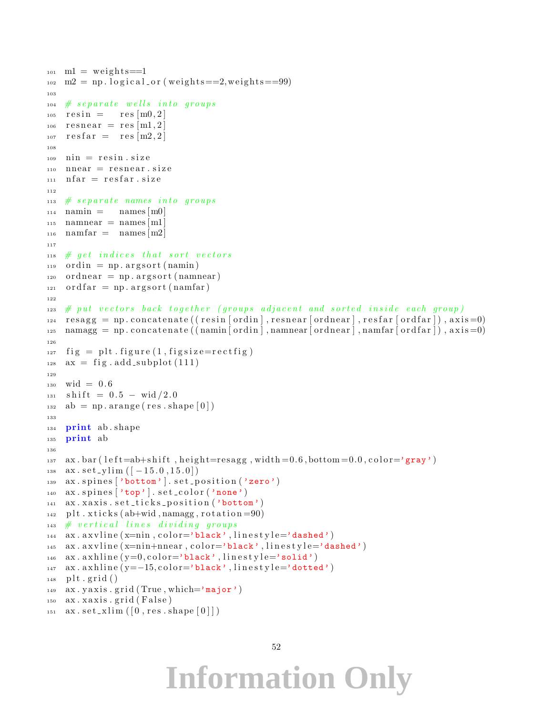```
_{101} m1 = weights==1
m_2 m2 = np. logical_or (weights==2,weights==99)
103
_{104} # separate wells into groups
_{105} resin = res [m0, 2]
_{106} resnear = res [m1,2]
_{107} resfar = res [m2, 2]
108
_{109} nin = resin.size
_{110} nnear = resnear.size
_{111} n f a r = r e s f a r . s i z e
112
113 # separate names into groups
_{114} namin = names [m0]
_{115} namnear = names [m1]
_{116} namfar = names [m2]
117
_{118} # get indices that sort vectors
_{119} ordin = np. argsort (namin)
_{120} ordnear = np. argsort (namnear)
_{121} ordfar = np. argsort (namfar)
122
123 # put vectors back together (groups adjacent and sorted inside each group)
r_{124} resagg = np.concatenate ((resin [ordin], resnear [ordnear], resfar [ordfar]), axis=0)
\lim_{n \to \infty} \frac{1}{n} namagg = np.concatenate ((namin | ordin | , namnear | ordnear | , namfar | ordfar | ), axis = 0)
126
_{127} fig = plt. figure (1, figgsize = rectfig)_{128} ax = fig.add.subplot(111)129
_{130} wid = 0.6
_{131} shift = 0.5 – wid /2.0
_{132} ab = np. arange (res. shape [0])
133
134 print ab shape
135 print ab
136
137 ax . bar ( left=ab+shift, height=resagg, width =0.6, bottom =0.0, color='gray')
138 ax \cdot set\_y \lim ([-15.0, 15.0])139 ax. spines ['bottom']. set_position ('zero')
_{140} ax. spines \lceil'top' \rceil. set_color ('none')
141 ax. xaxis. set_ticks_position ('bottom')
_{142} plt. xticks (ab+wid, namagg, rotation =90)
_{143} # vertical lines dividing groups
144 ax . axvline (x=ni n, color='black', linestyle='dashed')145 ax . axvline (x=nin+nnear, color='black', line style='dashed')_{146} ax. a x hline (y=0, \text{color}=\text{'black'}, \text{lines } y \leq \text{'solid'})_{147} ax. a x hline (y=-15, \text{color}=\text{'black'}, \text{lines type}=\text{'dotted'})_{148} plt.grid()
_{149} ax. y axis. g rid (True, which='major')
150 ax . xaxis . grid (False)151 ax . set .xlim([0, res, shape[0]])
```

```
52
```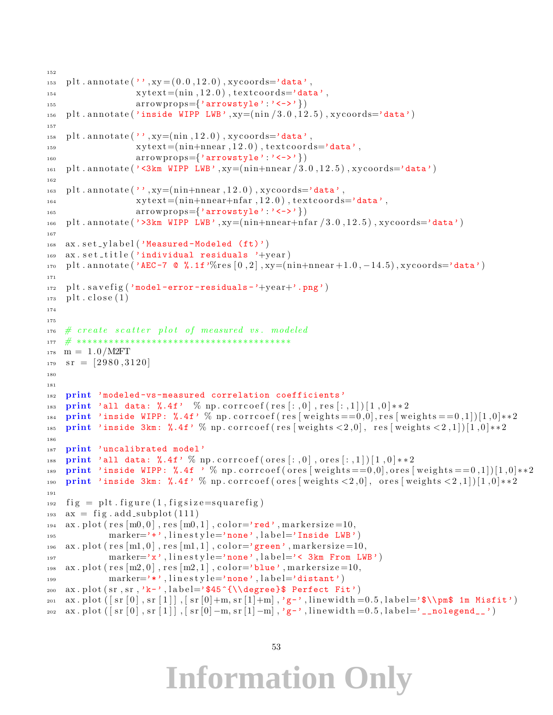```
152
_{153} plt . annotate ('', xy = (0.0, 12.0), xycoords='data',
\text{xytext} = (\text{nin } 12.0), \text{text} = \text{'data'},
155 \arrows arrowstyle':'<->'})
_{156} plt . annotate ('inside WIPP LWB', xy=(_{\text{nin}}/3.0, 12.5), xycoords='data')
157
_{158} plt . annotate ('', xy=(nin, 12.0), xycoords='data',
\text{xytext} = \text{input} + \text{input} + \text{input} + \text{input} + \text{output} + \text{input}160 a r r owp r op s={'arrowstyle ' : '<->'})
_{161} plt . annotate ('<3km WIPP LWB', xy=(_{\text{nin+nnear}}/3.0, 12.5), xycoords='data')
162
_{163} plt . annotate (', xy=(_{\text{nin+nnear}}, 12.0), xycoords='data',
x \text{ytext} = (n \text{in} + n \text{near} + n \text{far } 12.0), t extcoords='data',
165 \arrows arrow \text{props}=\{ 'arrow \text{or} \text{style} ' : ' \langle - \rangle' \})_{166} plt . annotate ('>3km WIPP LWB', xy=(_{\text{nin}+\text{nnear}+\text{nfar}} /3.0, 12.5), xycoords='data')
167
168 ax. set_ylabel('Measured-Modeled (ft)')
169 ax . set title ('individual residuals '+year)
170 plt . annotate ('AEC-7 \mathbb{Q} %.1f'%res [0, 2], xy=(\text{min}+\text{mean}+1.0, -14.5), xycoords='data')
171
_{172} plt . savefig ('model-error-residuals-'+year+'.png')
_{173} plt.close (1)174
175
176 # create scatter plot of measured vs. modeled
177 # ∗∗∗∗∗∗∗∗∗∗∗∗∗∗∗∗∗∗∗∗∗∗∗∗∗∗∗∗∗∗∗∗∗∗∗∗∗∗∗∗
_{178} m = 1.0/M2FT
_{179} sr = [2980,3120]
180
181
182 print 'modeled-vs-measured correlation coefficients'
183 print 'all data: \lambda.4f' % np.corrcoef (res [:,0], res [:,1]) [1,0] **2
184 print 'inside WIPP: \%, 4f' % np. corrcoef (res [weights = = 0,0], res [weights = = 0,1])[1,0] * * 2
185 print 'inside 3km: %.4f' % np. corrcoef (res [weights < 2,0], res [weights < 2,1])[1,0]**2
186
187 print 'uncalibrated model'
188 print 'all data: \lambda.4f' \% np.corrcoef (ores [:, 0], ores [:, 1]) [1,0]**2
189 print 'inside WIPP: %.4f ' % np. corrcoef (ores [weights = =0,0], ores [weights = =0,1]][1,0]**2
190 print 'inside 3km: %.4f' % np. corrcoef (ores [weights \langle 2,0], ores [weights \langle 2,1]] [1,0]**2
191
_{192} fig = plt. figure (1, figgsize=square_{193} ax = fig. add_subplot (111)194 ax. plot (res[m0, 0], res[m0, 1], color='red"ned', markersize=10,
maxker=\rightarrow\rightarrow, linestype=\rightarrow none, label=\texttt{Inside LWB'}_{196} ax. plot (res [m1,0], res [m1,1], color='green', markersize=10,
197 marker='x', linestyle='none', label='< 3km From LWB')
198 ax. plot (res [m2, 0], res [m2, 1], color='blue', markersize=10,
199 marker='*', linestyle='none', label='distant')
200 ax. plot (sr, sr, 'k-', label='$45^{\\degree}$ Perfect Fit')
201 ax.plot (\lceil s r \rceil 0 \rceil, s r \lceil 1 \rceil, s r \lceil 0 \rceil + m, s r \lceil 1 \rceil + m], 'g-', linewidth = 0.5, label='$\\pm$ 1m Misfit')
202 ax.plot ([s r [0], s r [1]], [s r [0] -m, s r [1] -m], 'g-', linewidth =0.5, label='__nolegend__')
```

```
53
```